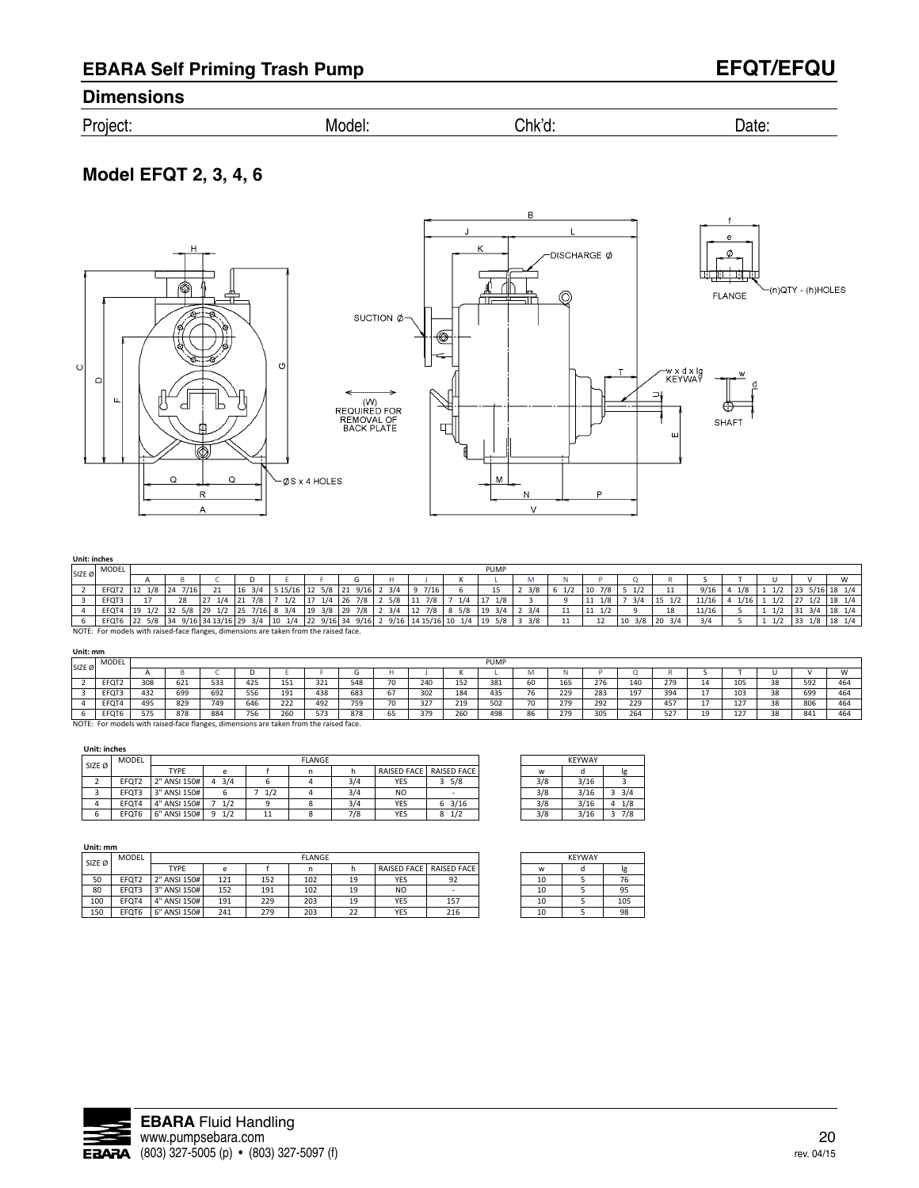| Projec<br>·υι | M<br>יי | м.<br>nκ.<br>. . | <br>w. |
|---------------|---------|------------------|--------|
|               |         |                  |        |

# **Model EFQT 2, 3, 4, 6**



### <u>Unit: inches</u>

| SIZE Ø | MODEL                                                                                 |                                                                                                                                                                                                                  |                          |     |      |        |           |           |     |      |     | PUMP      |     |     |                              |     |           |       |      |     |            |           |
|--------|---------------------------------------------------------------------------------------|------------------------------------------------------------------------------------------------------------------------------------------------------------------------------------------------------------------|--------------------------|-----|------|--------|-----------|-----------|-----|------|-----|-----------|-----|-----|------------------------------|-----|-----------|-------|------|-----|------------|-----------|
|        |                                                                                       |                                                                                                                                                                                                                  |                          |     |      |        |           |           |     |      |     |           |     |     |                              |     |           |       |      |     |            |           |
|        | EFQT2                                                                                 | 1/8                                                                                                                                                                                                              | 7/16 <sub>1</sub><br> 24 |     | 3/4  | 515/16 | 5/8       | 9/16      | 3/4 | 7/16 |     | 15        | 3/8 |     | 7/8                          |     |           | 9/16  | 1/8  | 1/2 | 5/16<br>23 | 18        |
|        | EFQT3                                                                                 |                                                                                                                                                                                                                  | 28                       | 1/4 | 7/8  | 1/2    |           | 7/8<br>26 | 5/8 | 7/8  | 1/4 | 1/8       |     |     | 1/8<br>11                    | 211 | 1/2<br>15 | 11/16 | 1/16 |     |            | 18<br>1/4 |
|        | EFOT4                                                                                 | 19                                                                                                                                                                                                               | $ 32 \t5/8$              | 1/2 | 7/16 | 3/4    | 3/8<br>19 | 7/8<br>29 | 3/4 | 7/8  | 5/8 | 19<br>3/4 | 3/4 | . . | 1/2<br>1 <sup>1</sup><br>. . |     | 18        | 11/16 |      | 1/2 | 3/4        | 18        |
|        |                                                                                       | $9/16$ 14 15/16 10<br>  34 9/16 34 13/16 29<br>$1/4$ 22<br>9/16<br>5/8<br>$19\frac{5}{8}$<br>3/4<br>9/16 34<br>3/8<br>3/8<br>$1/8$ 1<br>EFQT6 22<br>10<br>10<br>  20 3/4<br>3/4<br>1/4<br>1/2<br>1/4<br>33<br>18 |                          |     |      |        |           |           |     |      |     |           |     |     |                              |     |           |       |      |     |            |           |
|        | NOTE: For models with raised-face flanges, dimensions are taken from the raised face. |                                                                                                                                                                                                                  |                          |     |      |        |           |           |     |      |     |           |     |     |                              |     |           |       |      |     |            |           |

|        | Unit: mm                                                                              |                                                                                                                                       |     |     |     |     |     |     |    |     |     |      |            |     |     |     |     |    |           |    |     |     |
|--------|---------------------------------------------------------------------------------------|---------------------------------------------------------------------------------------------------------------------------------------|-----|-----|-----|-----|-----|-----|----|-----|-----|------|------------|-----|-----|-----|-----|----|-----------|----|-----|-----|
| SIZE Ø | <b>MODEL</b>                                                                          |                                                                                                                                       |     |     |     |     |     |     |    |     |     | PUMP |            |     |     |     |     |    |           |    |     |     |
|        |                                                                                       |                                                                                                                                       |     |     |     |     |     |     |    |     |     |      | <b>IVI</b> |     |     |     |     |    |           |    |     |     |
|        | EFOT2                                                                                 | 308                                                                                                                                   | 621 | 533 | 425 | 151 | 321 | 548 | 70 | 240 | 152 | 381  |            | 165 | 276 | 140 | 279 | 14 | 105       | 38 | 592 | 464 |
|        | EFQT3                                                                                 | 67<br>197<br>699<br>229<br>394<br>464<br>432<br>683<br>302<br>184<br>435<br>283<br>38<br>699<br>191<br>103<br>692<br>438<br>556<br>76 |     |     |     |     |     |     |    |     |     |      |            |     |     |     |     |    |           |    |     |     |
|        | EFQT4                                                                                 | 495                                                                                                                                   | 829 | 749 | 646 | 222 | 492 | 759 | 70 | 327 | 219 | 502  | 70         | 279 | 292 | 229 | 457 |    | --        | 38 | 806 | 464 |
|        | EFQT6                                                                                 | 575                                                                                                                                   | 878 | 884 | 756 | 260 | 573 | 878 | 65 | 379 | 260 | 498  | 86         | 279 | 305 | 264 | 527 | 19 | 127<br>-- | 38 | 841 | 464 |
|        | NOTE: For models with raised-face flanges, dimensions are taken from the raised face. |                                                                                                                                       |     |     |     |     |     |     |    |     |     |      |            |     |     |     |     |    |           |    |     |     |

### Unit: inches

| SIZE Ø | <b>MODEL</b> |              |          |     | <b>FLANGE</b> |     |                |                           |     | <b>KEYWAY</b> |                  |  |  |
|--------|--------------|--------------|----------|-----|---------------|-----|----------------|---------------------------|-----|---------------|------------------|--|--|
|        |              | <b>TYPE</b>  |          |     |               |     |                | RAISED FACE   RAISED FACE | W   |               | lg               |  |  |
|        | EFQT2        | 2" ANSI 150# | 3/4<br>Δ |     |               | 3/4 | YES            | $3 \frac{5}{8}$           | 3/8 | 3/16          |                  |  |  |
|        | EFQT3        | 3" ANSI 150# |          | 1/2 |               | 3/4 | N <sub>O</sub> | $\sim$                    | 3/8 | 3/16          | 3/4              |  |  |
|        | EFQT4        | 4" ANSI 150# | 1/2      |     |               | 3/4 | YES            | $6 \frac{3}{16}$          | 3/8 | 3/16          | 1/8<br>$\Lambda$ |  |  |
|        | EFQT6        | 6" ANSI 150# | 1/2      | ᅭ   |               | 7/8 | YES            | 1/2<br>8                  | 3/8 | 3/16          | 7/8              |  |  |

### **Unit:** mm

| SIZE Ø | <b>MODEL</b> |              |     |     | <b>FLANGE</b> |    |                |                           |    | <b>KEYWAY</b> |     |  |  |
|--------|--------------|--------------|-----|-----|---------------|----|----------------|---------------------------|----|---------------|-----|--|--|
|        |              | <b>TYPE</b>  |     |     | n             |    |                | RAISED FACE   RAISED FACE | W  |               | lg  |  |  |
| 50     | EFQT2        | 2" ANSI 150# | 121 | 152 | 102           | 19 | YES            | 92                        | 10 |               | 76  |  |  |
| 80     | EFQT3        | 3" ANSI 150# | 152 | 191 | 102           | 19 | N <sub>O</sub> |                           | 10 |               | 95  |  |  |
| 100    | EFQT4        | 4" ANSI 150# | 191 | 229 | 203           | 19 | YES            | 157                       | 10 |               | 105 |  |  |
| 150    | EFQT6        | 6" ANSI 150# | 241 | 279 | 203           | 22 | YES            | 216                       | 10 |               | 98  |  |  |

| <b>KFYWAY</b> |      |          |  |  |  |  |  |  |  |  |  |  |
|---------------|------|----------|--|--|--|--|--|--|--|--|--|--|
| w             | d    | lg       |  |  |  |  |  |  |  |  |  |  |
| 3/8           | 3/16 | ٩        |  |  |  |  |  |  |  |  |  |  |
| 3/8           | 3/16 | 3<br>3/4 |  |  |  |  |  |  |  |  |  |  |
| 3/8           | 3/16 | 1/8<br>4 |  |  |  |  |  |  |  |  |  |  |
| 3/8           | 3/16 | 7/8<br>3 |  |  |  |  |  |  |  |  |  |  |
|               |      |          |  |  |  |  |  |  |  |  |  |  |

|    | <b>KFYWAY</b> |     |
|----|---------------|-----|
| W  | d             | lg  |
| 10 | ς             | 76  |
| 10 | ς             | 95  |
| 10 | ς             | 105 |
| 10 | ς             | 98  |

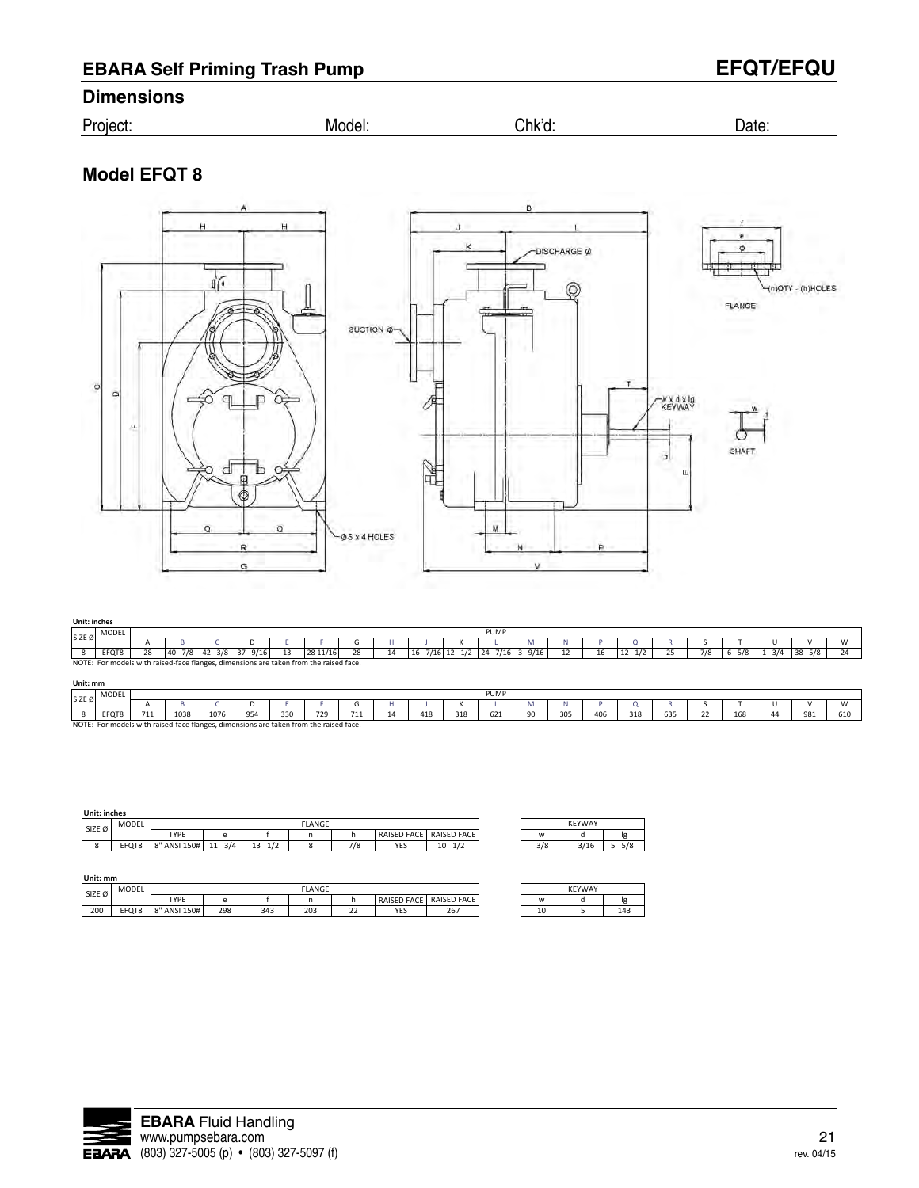# **EFQT/EFQU**

## **Dimensions**

| Project.<br>Jate<br>;hk′d<br>. וסו |
|------------------------------------|
|------------------------------------|

## **Model EFQT 8**



| Unit: inches |                                                                                       |                                                                                                                                                                                                      |  |  |  |  |  |  |  |  |  |  |  |  |  |  |  |  |  |  |  |  |  |  |  |
|--------------|---------------------------------------------------------------------------------------|------------------------------------------------------------------------------------------------------------------------------------------------------------------------------------------------------|--|--|--|--|--|--|--|--|--|--|--|--|--|--|--|--|--|--|--|--|--|--|--|
| SIZE Ø       | MODEL<br>PUMP                                                                         |                                                                                                                                                                                                      |  |  |  |  |  |  |  |  |  |  |  |  |  |  |  |  |  |  |  |  |  |  |  |
|              |                                                                                       | 181<br><b>IVI</b>                                                                                                                                                                                    |  |  |  |  |  |  |  |  |  |  |  |  |  |  |  |  |  |  |  |  |  |  |  |
|              | EFQT8                                                                                 | 379/16<br>40 7/8<br>38 5/8<br>$3 \frac{9}{16}$<br>$,  42 \t3/8 \t$<br>7/16 12 1/2 24 7/16<br>28 11/16<br>c<br>28<br>13<br>nE.<br>7/8<br>16<br>$\sim$<br>$\sim$<br>5/8<br>3/4<br>1/2<br>14<br>ᅩ<br>۷. |  |  |  |  |  |  |  |  |  |  |  |  |  |  |  |  |  |  |  |  |  |  |  |
|              | NOTE: For models with raised-face flanges, dimensions are taken from the raised face. |                                                                                                                                                                                                      |  |  |  |  |  |  |  |  |  |  |  |  |  |  |  |  |  |  |  |  |  |  |  |
| Hnit: mm     |                                                                                       |                                                                                                                                                                                                      |  |  |  |  |  |  |  |  |  |  |  |  |  |  |  |  |  |  |  |  |  |  |  |

| SIZE Ø | MODEL                                                                           |     |      |      |     |     |     |           |     |     |     | <b>PUMP</b> |            |     |               |     |                      |    |     |    |     |            |
|--------|---------------------------------------------------------------------------------|-----|------|------|-----|-----|-----|-----------|-----|-----|-----|-------------|------------|-----|---------------|-----|----------------------|----|-----|----|-----|------------|
|        |                                                                                 |     |      |      |     |     |     |           |     |     |     |             | <b>IVI</b> |     |               |     |                      |    |     |    |     |            |
|        | EFQT8                                                                           | 711 | 1038 | 1076 | 954 | 330 | 729 | $-1$<br>. | -14 | 418 | 318 | 621         | 90         | 305 | $\sim$<br>40O | 318 | $\sim$<br><b>b35</b> | -- | 168 | 44 | 981 | $-$<br>610 |
| NOTE:  | For models with raised-face flanges, dimensions are taken from the raised face. |     |      |      |     |     |     |           |     |     |     |             |            |     |               |     |                      |    |     |    |     |            |

| Init: Inc |  |  |
|-----------|--|--|
|           |  |  |

| SIZE Ø      | <b>MODEL</b> |                         |                |                    | <b>FLANGE</b> |     |                    |                    |
|-------------|--------------|-------------------------|----------------|--------------------|---------------|-----|--------------------|--------------------|
|             |              | <b>TYPE</b>             |                |                    |               |     | <b>RAISED FACE</b> | <b>RAISED FACE</b> |
| $\sim$<br>ಀ | EFQT8        | ANSI 150#<br>$^{\circ}$ | 3/4<br>11<br>ᅭ | 1/2<br>$\sim$<br>ᆦ |               | 7/8 | YES                | 10                 |
|             |              |                         |                |                    |               |     |                    |                    |

| <b>KEYWAY</b> |     |  |  |  |  |  |  |  |
|---------------|-----|--|--|--|--|--|--|--|
| d             | g   |  |  |  |  |  |  |  |
| 3/16          | 5/8 |  |  |  |  |  |  |  |
|               |     |  |  |  |  |  |  |  |

| Unit: mm |       |              |     |     |               |    |             |                    |  |  |
|----------|-------|--------------|-----|-----|---------------|----|-------------|--------------------|--|--|
| SIZE Ø   | MODEL |              |     |     | <b>FLANGE</b> |    |             |                    |  |  |
|          |       | <b>TYPE</b>  | ۰   |     |               |    | RAISED FACE | <b>RAISED FACE</b> |  |  |
| 200      | EFQT8 | 8" ANSI 150# | 298 | 343 | 203           | 22 | YES         | 267                |  |  |
|          |       |              |     |     |               |    |             |                    |  |  |

| KEYWAY |  |     |  |  |  |  |  |  |  |
|--------|--|-----|--|--|--|--|--|--|--|
| w      |  |     |  |  |  |  |  |  |  |
| 10     |  | 143 |  |  |  |  |  |  |  |
|        |  |     |  |  |  |  |  |  |  |

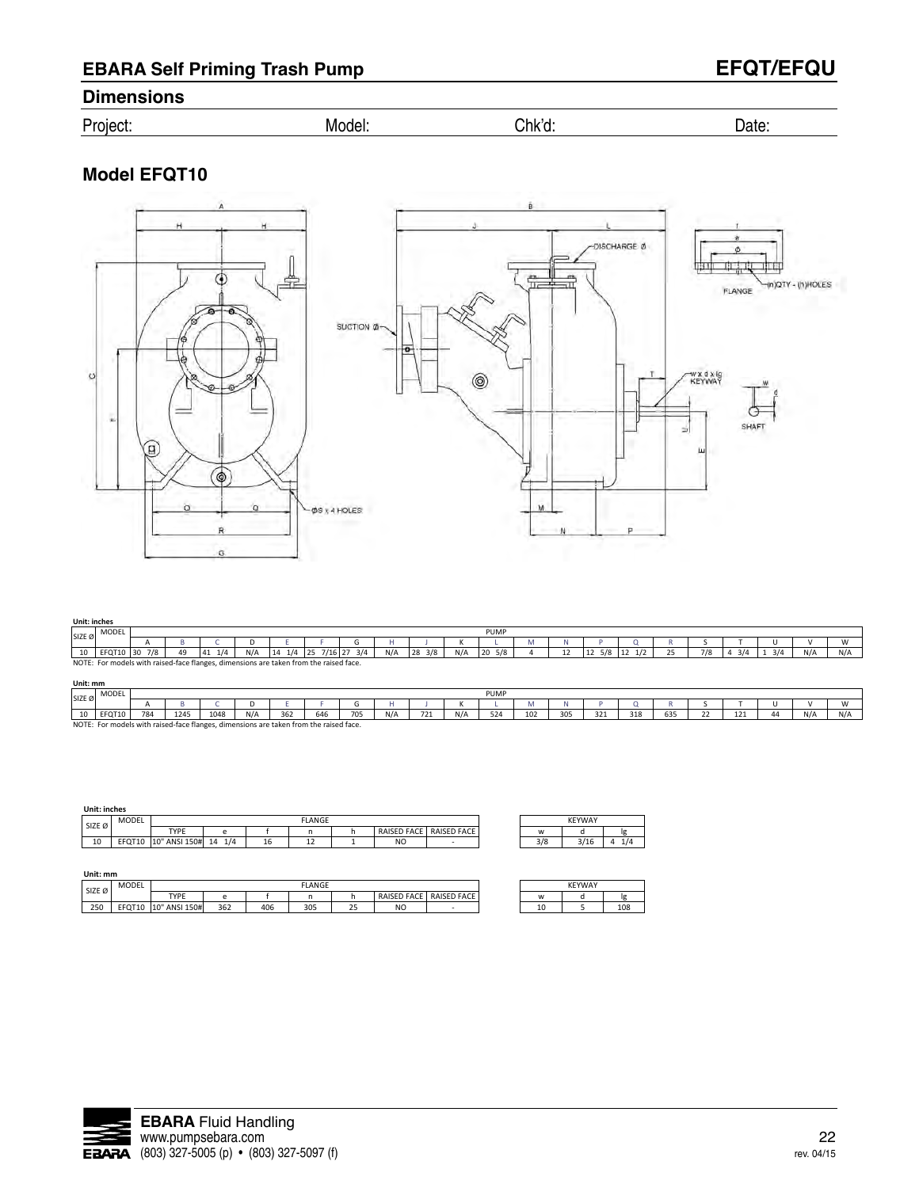# **EFQT/EFQU**

## **Dimensions**

|  | Projec | M<br>ч н⊷ | .nĸ | ⊩<br>スレン・ |
|--|--------|-----------|-----|-----------|
|--|--------|-----------|-----|-----------|

## **Model EFQT10**



| Unit: inches |                                                                                       |     |    |            |     |            |                   |     |     |        |     |             |            |           |           |    |     |     |     |     |
|--------------|---------------------------------------------------------------------------------------|-----|----|------------|-----|------------|-------------------|-----|-----|--------|-----|-------------|------------|-----------|-----------|----|-----|-----|-----|-----|
| SIZE Ø       | <b>MODEL</b>                                                                          |     |    |            |     |            |                   |     |     |        |     | PUMP        |            |           |           |    |     |     |     |     |
|              |                                                                                       |     |    |            |     |            |                   |     | п   |        |     |             | <b>IVI</b> |           |           |    |     |     |     | 181 |
| 10           | EFQT10 30                                                                             | 7/8 | 49 | 1/4<br>141 | N/A | 1/4<br>114 | $7/16$   27<br>25 | 3/4 | N/A | 28 3/8 | N/A | . 20<br>5/8 |            | 5/8<br>12 | 12<br>1/2 | 25 | 7/8 | 3/4 | N/A | N/A |
|              | NOTE: For models with raised-face flanges, dimensions are taken from the raised face. |     |    |            |     |            |                   |     |     |        |     |             |            |           |           |    |     |     |     |     |
|              |                                                                                       |     |    |            |     |            |                   |     |     |        |     |             |            |           |           |    |     |     |     |     |
|              | Unit: mm                                                                              |     |    |            |     |            |                   |     |     |        |     |             |            |           |           |    |     |     |     |     |
| SIZE Ø       | <b>MODEL</b>                                                                          |     |    |            |     |            |                   |     |     |        |     | <b>PUMP</b> |            |           |           |    |     |     |     |     |
|              |                                                                                       |     |    |            |     |            |                   |     |     |        |     |             |            |           |           |    |     |     |     | M   |

| Unit: inches              |       |                      |               |    |  |  |                |                           |  |  |
|---------------------------|-------|----------------------|---------------|----|--|--|----------------|---------------------------|--|--|
| ${}^1$ SIZE $\emptyset$ . | MODEL |                      | <b>FLANGE</b> |    |  |  |                |                           |  |  |
|                           |       | <b>TYPE</b>          |               |    |  |  |                | RAISED FACE   RAISED FACE |  |  |
| 10                        |       | EFOT10 10" ANSI 150# | 14 1/4        | 16 |  |  | N <sub>O</sub> | ۰                         |  |  |

| <b>KEYWAY</b> |    |   |  |  |  |  |  |  |
|---------------|----|---|--|--|--|--|--|--|
| w             |    | o |  |  |  |  |  |  |
|               | 16 | Λ |  |  |  |  |  |  |

KEYWAY  $\overline{d}$ 

 $\sqrt{g}$  $\frac{8}{108}$ 

|            | .      |                  |     |     |     |  |                    |                    |  |  |  |  |
|------------|--------|------------------|-----|-----|-----|--|--------------------|--------------------|--|--|--|--|
| SIZE Ø     | MODEL  | <b>FLANGE</b>    |     |     |     |  |                    |                    |  |  |  |  |
|            |        | TYPE             |     |     |     |  | <b>RAISED FACE</b> | <b>RAISED FACE</b> |  |  |  |  |
| 250<br>25U | EFOT10 | ANSI 150#<br>10" | 362 | 406 | 305 |  | <sub>NO</sub>      | ۰                  |  |  |  |  |

| ۰ |  |
|---|--|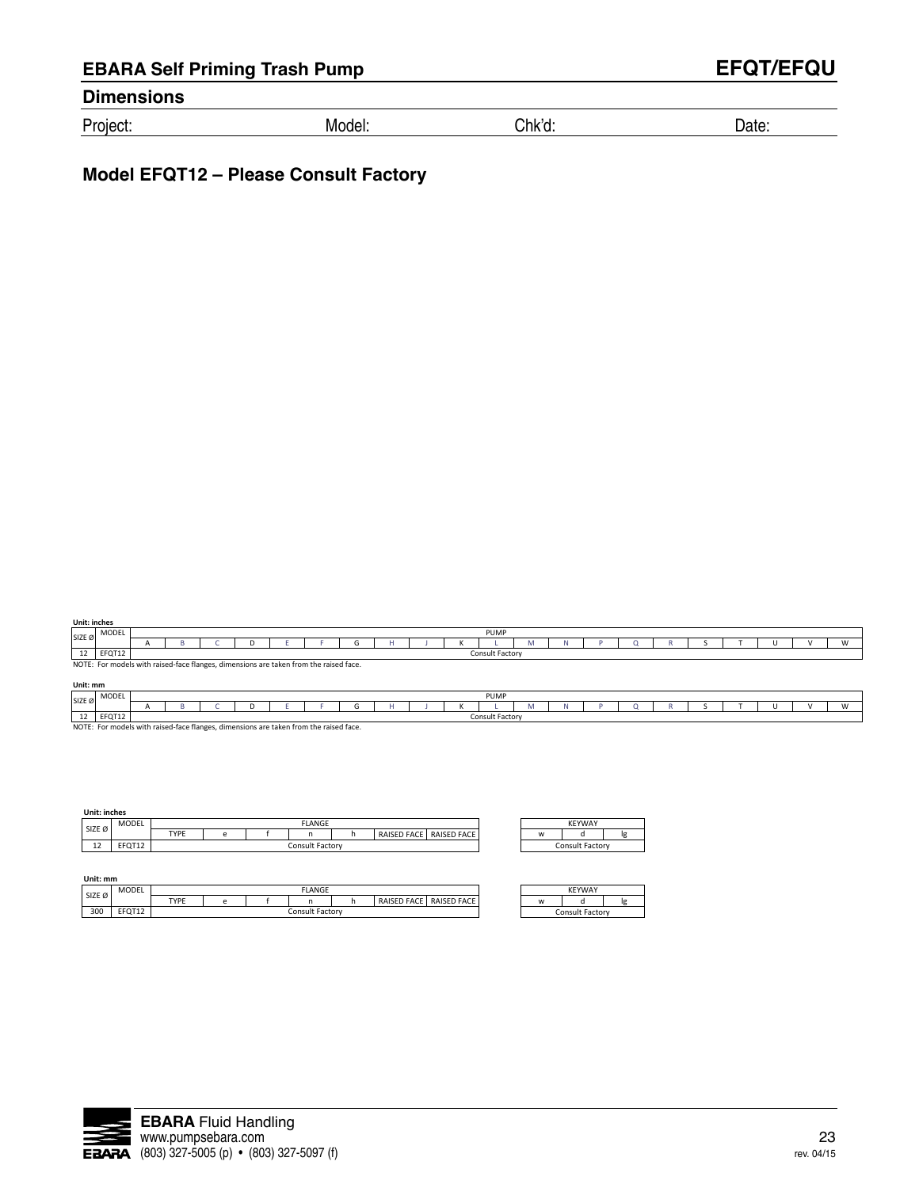# **EBARA Self Priming Trash Pump EFQT/EFQU**

## **Dimensions**

Project: Model: Chk'd: Date:

# **Model EFQT12 – Please Consult Factory**



Consult Factory

| Unit: mm |        |             |                           |   |  |    |               |  |  |  |                 |  |
|----------|--------|-------------|---------------------------|---|--|----|---------------|--|--|--|-----------------|--|
| SIZE Ø   | MODEL  |             |                           |   |  |    | <b>KFYWAY</b> |  |  |  |                 |  |
|          |        | <b>TYPE</b> | RAISED FACE   RAISED FACE | W |  | lσ |               |  |  |  |                 |  |
| 300      | EFOT12 |             | Consult Factory           |   |  |    |               |  |  |  | Consult Factory |  |

Consult Factory



 $\overline{12}$  EFQT12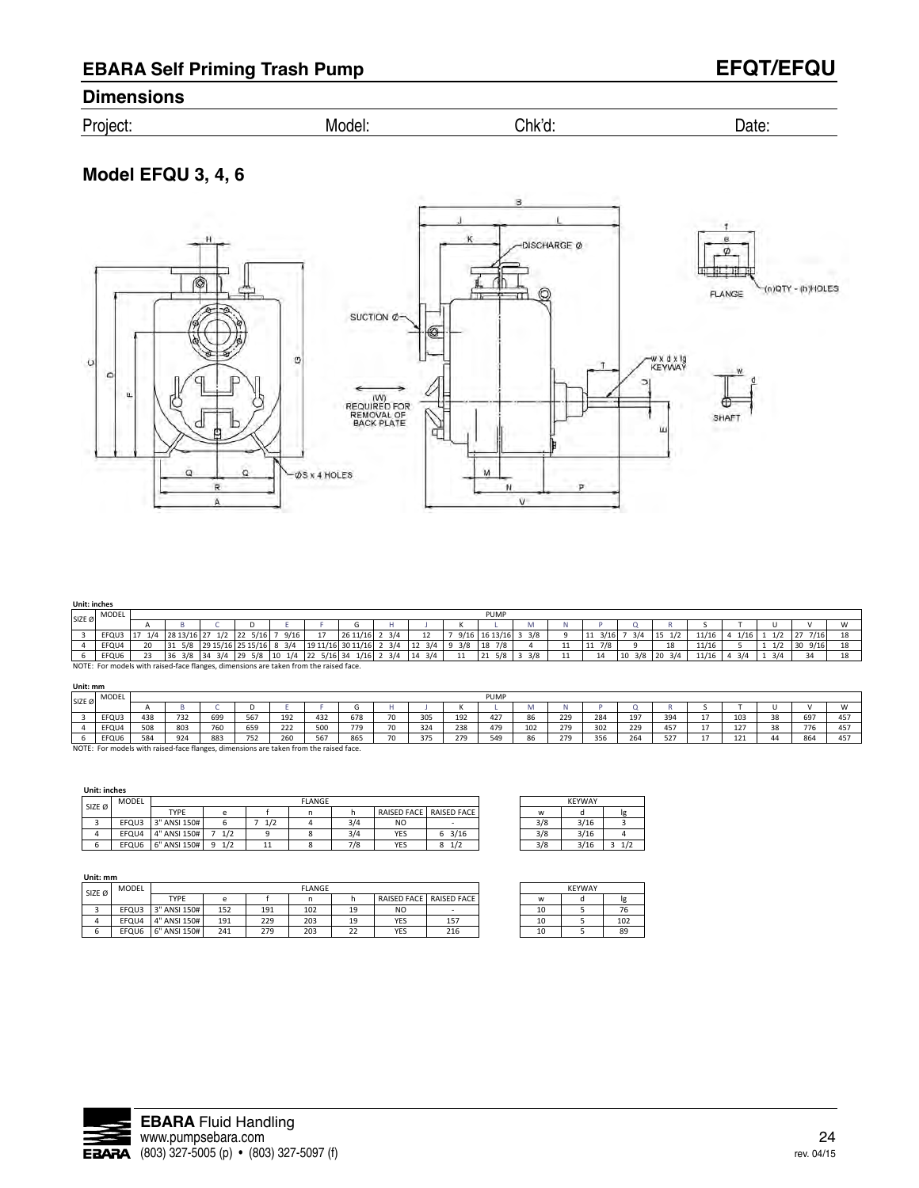# **EFQT/EFQU**

## **Dimensions**

| $\blacksquare$<br>یں ک | .nk<br> | ---- |
|------------------------|---------|------|
|                        |         |      |

## Model EFQU 3, 4, 6



### Unit: inches

| <b>VIIIL IIILILJ</b> |       |     |                                                                                      |                       |              |      |                 |                                    |     |           |      |                 |     |              |           |             |       |      |     |              |     |
|----------------------|-------|-----|--------------------------------------------------------------------------------------|-----------------------|--------------|------|-----------------|------------------------------------|-----|-----------|------|-----------------|-----|--------------|-----------|-------------|-------|------|-----|--------------|-----|
| SIZE Ø               | MODEL |     |                                                                                      |                       |              |      |                 |                                    |     |           |      | PUMP            |     |              |           |             |       |      |     |              |     |
|                      |       |     |                                                                                      |                       |              |      |                 |                                    |     |           |      |                 |     |              |           |             |       |      |     |              | 181 |
|                      | EFQU3 |     | 28 13/16                                                                             |                       | 5/16<br>י הו | 9/16 | <u>д.</u>       | 26 11/16                           | 3/4 | --        | 9/16 | 1613/16         | 3/8 | 3/16<br>.    | 211       | 1/2<br>15   | 11/16 | 1/16 | 1/7 | 7/16         | 19  |
|                      | EFQU4 | 20  | 5/8                                                                                  | $15/16$ <sup>-1</sup> | 25 15/16     | 3/4  | 19 11           | $.1/16$ 30 1 <sup>1</sup><br>'1161 | 3/4 | 3/4       | 3/8  | 7/8             |     | <br>7/8<br>. |           | ∸           | 11/16 |      | 1/2 | 9/16<br>i 30 | 18  |
|                      | EFQU6 | ר ר | 3/8<br>36                                                                            | 34<br>3/4             | 5/8          | 1/4  | $5/16$ 34<br>22 | 1/16                               | 3/4 | 3/4<br>14 |      | 5/8<br>121<br>. | 210 | 14           | 10<br>3/8 | 3/4<br>i 20 | 11/16 | 214  | 2/1 |              | 10  |
|                      |       |     | NOTE: For models with raised-face flanges, dimensions are taken from the raised face |                       |              |      |                 |                                    |     |           |      |                 |     |              |           |             |       |      |     |              |     |

### Unit:  $m$ MODEL PUMP  $size \space o$  $\overline{G}$  $\overline{D}$  $\overline{\mathbf{K}}$ **N** ℸ  $\overline{u}$  $\overline{3}$  EFQU3  $427$ 438 732 567 678 192 229 394 103  $\overline{38}$ 699 192 432 70 305 86 284 197 457  $\overline{4}$ EFQU4 508 803 760 659  $\overline{222}$ 500 779  $\overline{70}$ 324  $\frac{1}{238}$ 479  $\overline{102}$  $\frac{1}{279}$  $\overline{302}$ 229 457  $\overline{17}$  $\overline{127}$  $\overline{38}$  $457$  $776$ 6 EFQU6 584 924 883 752 260<br>NOTE: For models with raised-face flanges, dimensions are taken from  $567$  865  $70$  $375$ 279 549 86 279  $\begin{array}{|c|c|} \hline \end{array}$  356 264  $527$  $\overline{17}$ 121  $44$ 864 457

| Unit: inches |              |              |          |     |               |     |     |                         |
|--------------|--------------|--------------|----------|-----|---------------|-----|-----|-------------------------|
| SIZE Ø       | <b>MODEL</b> |              |          |     | <b>FLANGE</b> |     |     |                         |
|              |              | <b>TYPE</b>  | e        |     |               |     |     | RAISED FACE RAISED FACE |
|              | EFQU3        | 3" ANSI 150# |          | 1/2 |               | 3/4 | NO. | ۰                       |
|              | EFQU4        | 4" ANSI 150# | 1/2      |     |               | 3/4 | YES | $6\frac{3}{16}$         |
| h            | EFQU6        | 6" ANSI 150# | 1/2<br>q | 11  |               | 7/8 | YES | 1/2<br>8                |

| <b>KFYWAY</b> |     |
|---------------|-----|
| d             | lg  |
| 3/16          | R   |
| 3/16          | Δ   |
| 3/16          | 1/2 |
|               |     |

| Unit: mm |              |              |     |     |               |    |                         |     |
|----------|--------------|--------------|-----|-----|---------------|----|-------------------------|-----|
| SIZE Ø   | <b>MODFL</b> |              |     |     | <b>FLANGE</b> |    |                         |     |
|          |              | <b>TYPE</b>  | e   |     |               |    | RAISED FACE RAISED FACE |     |
|          | EFQU3        | 3" ANSI 150# | 152 | 191 | 102           | 19 | N <sub>O</sub>          | ۰   |
| 4        | EFQU4        | 4" ANSI 150# | 191 | 229 | 203           | 19 | <b>YFS</b>              | 157 |
| 6        | EFQU6        | 6" ANSI 150# | 241 | 279 | 203           | 22 | YES                     | 216 |

|    | <b>KFYWAY</b> |     |
|----|---------------|-----|
| w  | d             | lg  |
| 10 | ς             | 76  |
| 10 | ς             | 102 |
| 10 |               | 89  |

Г

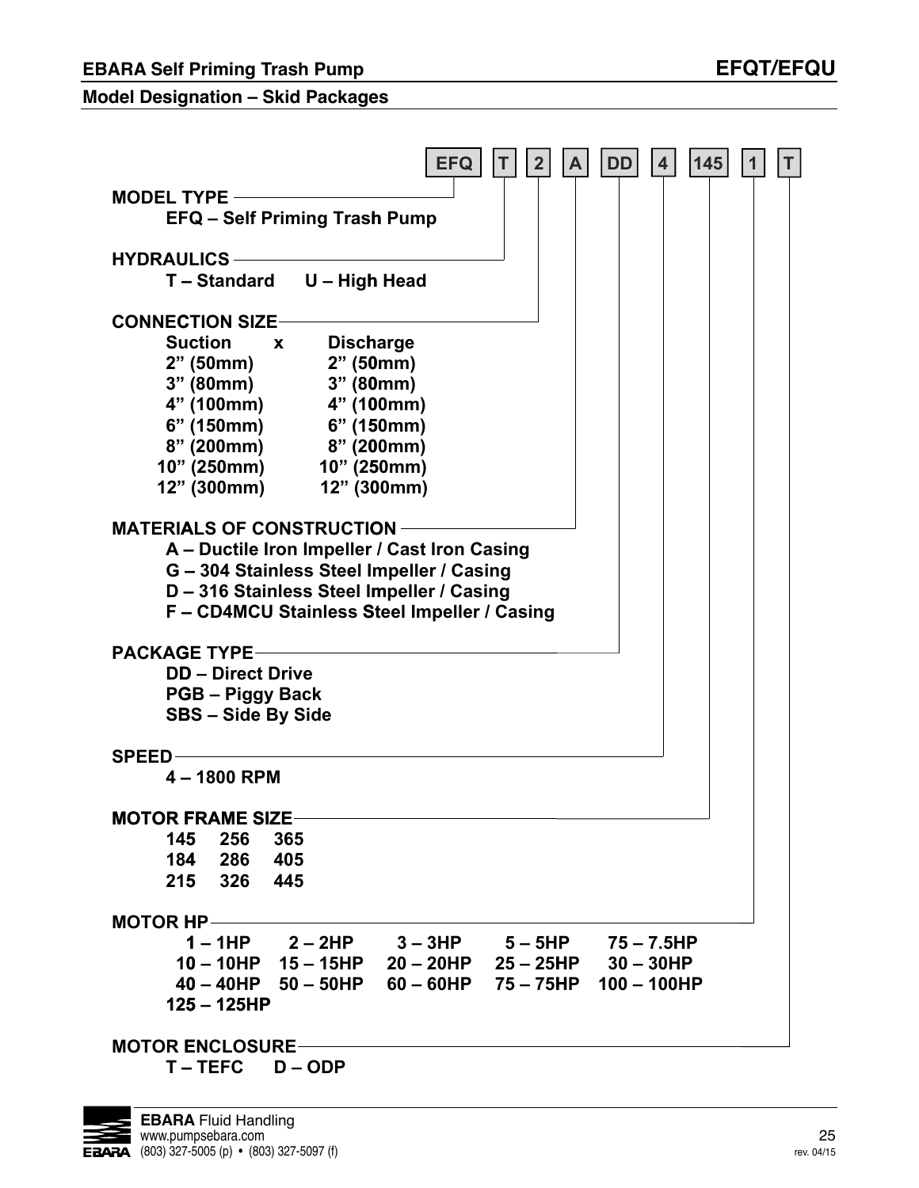## **Model Designation – Skid Packages and Science of the Contract of the Contract of the Contract of the Contract of the Contract of the Contract of the Contract of the Contract of the Contract of the Contract of the Contract** rash Pump EFQT/EFQ<br>kid Packages



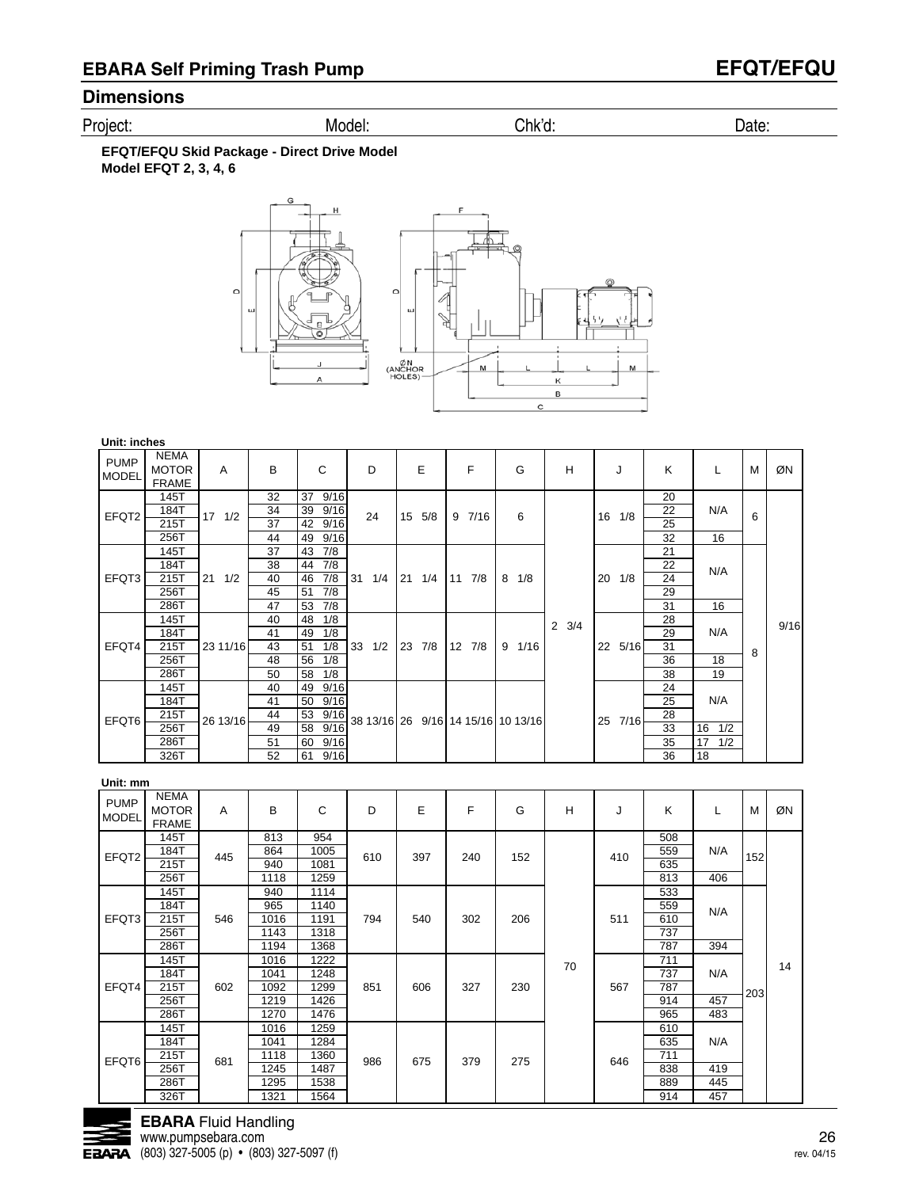### Project: Model: Chk'd: Date:

**EFQT/EFQU Skid Package - Direct Drive Model Model EFQT 2, 3, 4, 6**



### **Unit: inches**

| <b>PUMP</b><br><b>MODEL</b> | <b>NEMA</b><br><b>MOTOR</b> | A         | B  | C          | D         | E         | E                      | G                                  | H               | J         | K  |           | M | ØΝ   |
|-----------------------------|-----------------------------|-----------|----|------------|-----------|-----------|------------------------|------------------------------------|-----------------|-----------|----|-----------|---|------|
|                             | <b>FRAME</b>                |           |    |            |           |           |                        |                                    |                 |           |    |           |   |      |
|                             | 145T                        |           | 32 | 9/16<br>37 |           |           |                        |                                    |                 |           | 20 |           |   |      |
| EFQT2                       | 184T                        | 17<br>1/2 | 34 | 9/16<br>39 | 24        | 15<br>5/8 | 7/16<br>9              | 6                                  |                 | 16 1/8    | 22 | N/A       | 6 |      |
|                             | 215T                        |           | 37 | 9/16<br>42 |           |           |                        |                                    |                 |           | 25 |           |   |      |
|                             | 256T                        |           | 44 | 9/16<br>49 |           |           |                        |                                    |                 |           | 32 | 16        |   |      |
|                             | 145T                        |           | 37 | 7/8<br>43  |           |           |                        |                                    |                 |           | 21 |           |   |      |
|                             | 184T                        |           | 38 | 7/8<br>44  |           |           |                        |                                    |                 |           | 22 | N/A       |   |      |
| EFQT3                       | 215T                        | 1/2<br>21 | 40 | 7/8<br>46  | 31<br>1/4 | 1/4<br>21 | 7/8<br>11              | 1/8<br>8                           |                 | 20<br>1/8 | 24 |           |   |      |
|                             | 256T                        |           | 45 | 7/8<br>51  |           |           |                        |                                    |                 |           | 29 |           |   |      |
|                             | 286T                        |           | 47 | 53<br>7/8  |           |           |                        |                                    |                 |           | 31 | 16        |   |      |
|                             | 145T                        |           | 40 | 1/8<br>48  |           |           |                        |                                    | $2 \frac{3}{4}$ |           | 28 |           |   | 9/16 |
|                             | 184T                        |           | 41 | 1/8<br>49  |           |           |                        |                                    |                 |           | 29 | N/A       |   |      |
| EFQT4                       | 215T                        | 23 11/16  | 43 | 1/8<br>51  | 33<br>1/2 | 23<br>7/8 | 12 <sub>2</sub><br>7/8 | 1/16<br>9                          |                 | 22 5/16   | 31 |           | 8 |      |
|                             | 256T                        |           | 48 | 1/8<br>56  |           |           |                        |                                    |                 |           | 36 | 18        |   |      |
|                             | 286T                        |           | 50 | 58<br>1/8  |           |           |                        |                                    |                 |           | 38 | 19        |   |      |
|                             | 145T                        |           | 40 | 9/16<br>49 |           |           |                        |                                    |                 |           | 24 |           |   |      |
|                             | 184T                        |           | 41 | 50<br>9/16 |           |           |                        |                                    |                 |           | 25 | N/A       |   |      |
|                             | 215T                        |           | 44 | 53<br>9/16 |           |           |                        |                                    |                 |           | 28 |           |   |      |
| EFQT6                       | 256T                        | 26 13/16  | 49 | 9/16<br>58 |           |           |                        | 38 13/16 26 9/16 14 15/16 10 13/16 |                 | 25 7/16   | 33 | 16<br>1/2 |   |      |
|                             | 286T                        |           | 51 | 9/16<br>60 |           |           |                        |                                    |                 |           | 35 | 17<br>1/2 |   |      |
|                             | 326T                        |           | 52 | 9/16<br>61 |           |           |                        |                                    |                 |           | 36 | 18        |   |      |

### **Unit: mm**

| <b>PUMP</b><br><b>MODEL</b> | <b>NEMA</b><br><b>MOTOR</b><br><b>FRAME</b> | A                   | B    | C    | D   | E   | F   | G   | H   | J   | K   |     | M   | ØN |  |
|-----------------------------|---------------------------------------------|---------------------|------|------|-----|-----|-----|-----|-----|-----|-----|-----|-----|----|--|
|                             | 145T                                        |                     | 813  | 954  |     |     |     |     |     |     | 508 |     |     |    |  |
| EFQT2                       | 184T                                        |                     | 864  | 1005 |     |     | 240 | 152 |     |     | 559 | N/A |     |    |  |
|                             | 215T                                        | 445                 | 940  | 1081 | 610 | 397 |     |     |     | 410 | 635 |     | 152 |    |  |
|                             | 256T                                        |                     | 1118 | 1259 |     |     |     |     |     |     | 813 | 406 |     |    |  |
|                             | 145T                                        |                     | 940  | 1114 |     |     |     |     |     |     | 533 |     |     |    |  |
|                             | 184T                                        |                     | 965  | 1140 |     |     |     |     |     |     | 559 | N/A |     |    |  |
| EFQT3                       | 215T                                        | 546                 | 1016 | 1191 | 794 | 540 | 302 | 206 |     | 511 | 610 |     |     |    |  |
|                             | 256T                                        |                     | 1143 | 1318 |     |     |     |     |     |     | 737 |     |     |    |  |
|                             | 286T                                        |                     | 1194 | 1368 |     |     |     |     |     |     |     | 787 | 394 |    |  |
|                             | 145T                                        |                     | 1016 | 1222 |     |     |     |     | 70  |     | 711 |     |     | 14 |  |
|                             | 184T                                        |                     | 1041 | 1248 |     |     |     |     |     |     | 737 | N/A |     |    |  |
| EFQT4                       | 215T                                        | 602                 | 1092 | 1299 | 851 | 606 | 327 | 230 |     | 567 | 787 |     | 203 |    |  |
|                             | 256T                                        |                     | 1219 | 1426 |     |     |     |     |     |     | 914 | 457 |     |    |  |
|                             | 286T                                        |                     | 1270 | 1476 |     |     |     |     |     |     | 965 | 483 |     |    |  |
|                             | 145T                                        |                     | 1016 | 1259 |     |     |     |     |     |     | 610 |     |     |    |  |
|                             | 184T                                        |                     | 1041 | 1284 |     |     |     |     |     |     | 635 | N/A |     |    |  |
| EFQT6                       | 215T                                        | 1118<br>1360<br>681 | 986  | 675  | 379 | 275 |     | 646 | 711 |     |     |     |     |    |  |
|                             | 256T                                        |                     | 1245 | 1487 |     |     |     |     |     |     | 838 | 419 |     |    |  |
|                             | 286T                                        |                     | 1295 | 1538 |     |     |     |     |     |     |     | 889 | 445 |    |  |
|                             | 326T                                        |                     | 1321 | 1564 |     |     |     |     |     |     | 914 | 457 |     |    |  |

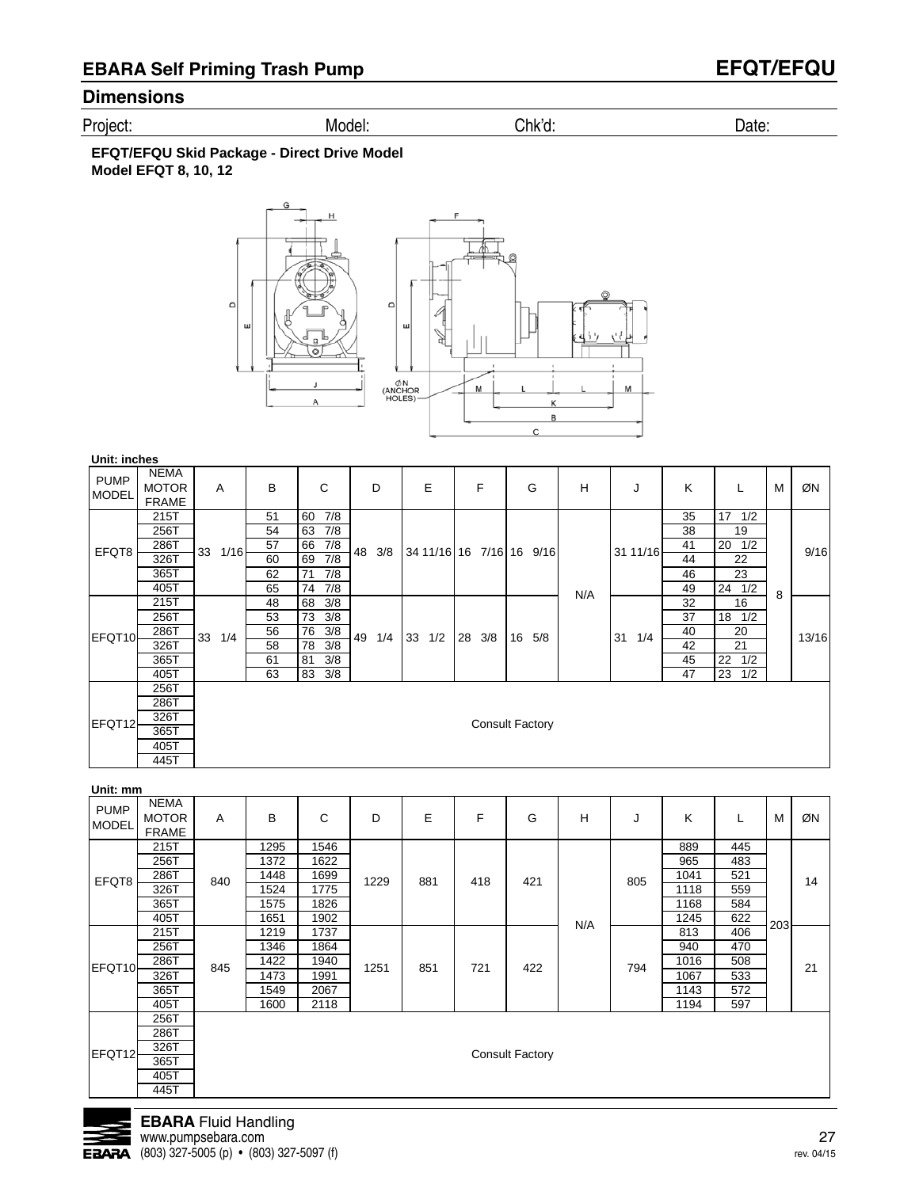Project: Model: Chk'd: Date:

**EFQT/EFQU Skid Package - Direct Drive Model Model EFQT 8, 10, 12**



| <b>PUMP</b><br><b>MODEL</b> | <b>NEMA</b><br><b>MOTOR</b><br><b>FRAME</b> | A          | B  | C                      | D         | E         | F         | G                        | H   | J         | K  | L         | M | ØΝ    |
|-----------------------------|---------------------------------------------|------------|----|------------------------|-----------|-----------|-----------|--------------------------|-----|-----------|----|-----------|---|-------|
|                             | 215T                                        |            | 51 | 7/8<br>60              |           |           |           |                          |     |           | 35 | 17<br>1/2 |   |       |
|                             | 256T                                        |            | 54 | 63<br>7/8              |           |           |           |                          |     |           | 38 | 19        |   |       |
| EFQT8                       | 286T                                        | 33<br>1/16 | 57 | 7/8<br>66              | 48<br>3/8 |           |           | 34 11/16 16 7/16 16 9/16 |     | 31 11/16  | 41 | 20<br>1/2 |   | 9/16  |
|                             | 326T                                        |            | 60 | 7/8<br>69              |           |           |           |                          |     |           | 44 | 22        |   |       |
|                             | 365T                                        |            | 62 | 71<br>7/8              |           |           |           |                          |     |           | 46 | 23        |   |       |
|                             | 405T                                        |            | 65 | 7/8<br>74              |           |           |           |                          | N/A |           | 49 | 1/2<br>24 | 8 |       |
|                             | 215T                                        |            | 48 | 3/8<br>68              |           |           |           |                          |     |           | 32 | 16        |   |       |
|                             | 256T                                        |            | 53 | 3/8<br>73              |           |           |           |                          |     |           | 37 | 18<br>1/2 |   |       |
| EFQT10                      | 286T                                        | 33<br>1/4  | 56 | 3/8<br>76              | 49<br>1/4 | 33<br>1/2 | 28<br>3/8 | 16<br>5/8                |     | 31<br>1/4 | 40 | 20        |   | 13/16 |
|                             | 326T                                        |            | 58 | $\overline{3/8}$<br>78 |           |           |           |                          |     |           | 42 | 21        |   |       |
|                             | 365T                                        |            | 61 | 3/8<br>81              |           |           |           |                          |     |           | 45 | 22<br>1/2 |   |       |
|                             | 405T                                        |            | 63 | 3/8<br>83              |           |           |           |                          |     |           | 47 | 23<br>1/2 |   |       |
|                             | 256T                                        |            |    |                        |           |           |           |                          |     |           |    |           |   |       |
|                             | 286T                                        |            |    |                        |           |           |           |                          |     |           |    |           |   |       |
| EFQT12                      | 326T                                        |            |    |                        |           |           |           | <b>Consult Factory</b>   |     |           |    |           |   |       |
|                             | 365T                                        |            |    |                        |           |           |           |                          |     |           |    |           |   |       |
|                             | 405T                                        |            |    |                        |           |           |           |                          |     |           |    |           |   |       |
|                             | 445T                                        |            |    |                        |           |           |           |                          |     |           |    |           |   |       |

| Unit: mm                    |                                             |     |      |      |      |     |     |                        |     |     |      |     |     |    |
|-----------------------------|---------------------------------------------|-----|------|------|------|-----|-----|------------------------|-----|-----|------|-----|-----|----|
| <b>PUMP</b><br><b>MODEL</b> | <b>NEMA</b><br><b>MOTOR</b><br><b>FRAME</b> | A   | B    | C    | D    | Е   | F   | G                      | H   | J   | K    |     | M   | ØN |
|                             | 215T                                        |     | 1295 | 1546 |      |     |     |                        |     |     | 889  | 445 |     |    |
|                             | 256T                                        |     | 1372 | 1622 |      |     |     |                        |     |     | 965  | 483 |     |    |
| EFQT8                       | 286T                                        | 840 | 1448 | 1699 | 1229 | 881 | 418 | 421                    |     | 805 | 1041 | 521 |     | 14 |
|                             | 326T                                        |     | 1524 | 1775 |      |     |     |                        |     |     | 1118 | 559 |     |    |
|                             | 365T                                        |     | 1575 | 1826 |      |     |     |                        |     |     | 1168 | 584 |     |    |
|                             | 405T                                        |     | 1651 | 1902 |      |     |     |                        | N/A |     | 1245 | 622 | 203 |    |
|                             | 215T                                        |     | 1219 | 1737 |      |     |     |                        |     |     | 813  | 406 |     |    |
|                             | 256T                                        |     | 1346 | 1864 |      |     |     |                        |     |     | 940  | 470 |     |    |
| EFQT10                      | 286T                                        | 845 | 1422 | 1940 | 1251 | 851 | 721 | 422                    |     | 794 | 1016 | 508 |     | 21 |
|                             | 326T                                        |     | 1473 | 1991 |      |     |     |                        |     |     | 1067 | 533 |     |    |
|                             | 365T                                        |     | 1549 | 2067 |      |     |     |                        |     |     | 1143 | 572 |     |    |
|                             | 405T                                        |     | 1600 | 2118 |      |     |     |                        |     |     | 1194 | 597 |     |    |
|                             | 256T                                        |     |      |      |      |     |     |                        |     |     |      |     |     |    |
|                             | 286T                                        |     |      |      |      |     |     |                        |     |     |      |     |     |    |
| EFQT12                      | 326T                                        |     |      |      |      |     |     | <b>Consult Factory</b> |     |     |      |     |     |    |
|                             | 365T                                        |     |      |      |      |     |     |                        |     |     |      |     |     |    |
|                             | 405T                                        |     |      |      |      |     |     |                        |     |     |      |     |     |    |
|                             | 445T                                        |     |      |      |      |     |     |                        |     |     |      |     |     |    |

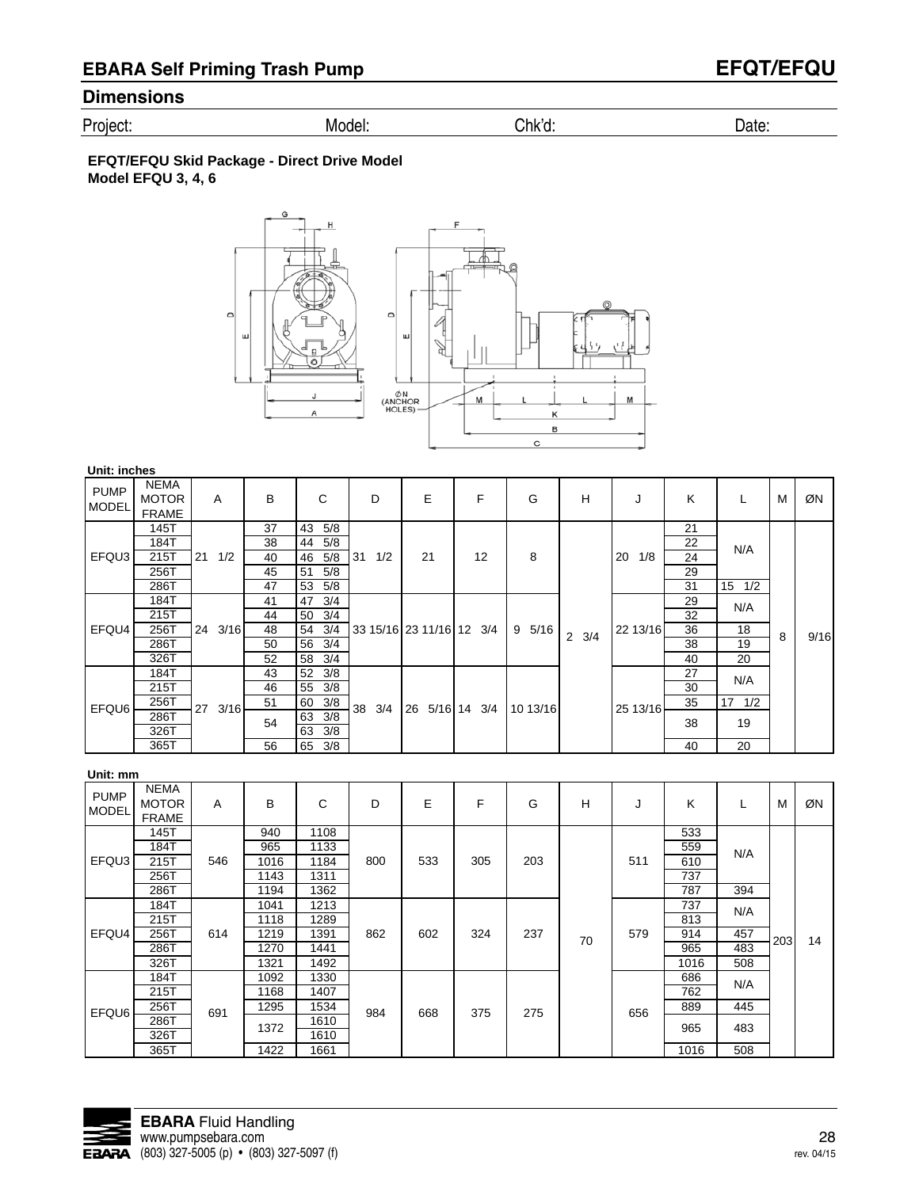| -        | M           | `hk'   | 1.41  |
|----------|-------------|--------|-------|
| Proiect. | $ $ $ $ $ $ | $\sim$ | υαισ. |
|          |             |        |       |

## **EFQT/EFQU Skid Package - Direct Drive Model Model EFQU 3, 4, 6**



| <b>PUMP</b><br><b>MODEL</b> | <b>NEMA</b><br><b>MOTOR</b><br><b>FRAME</b>  | A          | B                                    | C                                                                                       | D              | E.                       | F   | G             | H               | J        | K                                                    | L                                          | M   | ØN   |
|-----------------------------|----------------------------------------------|------------|--------------------------------------|-----------------------------------------------------------------------------------------|----------------|--------------------------|-----|---------------|-----------------|----------|------------------------------------------------------|--------------------------------------------|-----|------|
| EFQU3                       | 145T<br>184T<br>215T<br>256T<br>286T         | $21 \t1/2$ | 37<br>38<br>40<br>45<br>47           | 43<br>5/8<br>44<br>$5/8$<br>$\overline{5/8}$<br>46<br>51<br>5/8<br>5/8<br>53            | $31 \quad 1/2$ | 21                       | 12  | 8             |                 | 20 1/8   | 21<br>22<br>24<br>29<br>31                           | N/A<br>15 1/2                              |     |      |
| EFQU4                       | 184T<br>215T<br>256T<br>286T<br>326T         | 24 3/16    | 41<br>44<br>48<br>50<br>52           | 3/4<br>47<br>3/4<br>50<br>$\overline{3/4}$<br>$\overline{54}$<br>56<br>3/4<br>58<br>3/4 |                | 33 15/16 23 11/16 12 3/4 |     | $9\quad 5/16$ | $2 \frac{3}{4}$ | 22 13/16 | 29<br>$\overline{32}$<br>$\overline{36}$<br>38<br>40 | N/A<br>$\overline{18}$<br>19<br>20         | 8   | 9/16 |
| EFQU6                       | 184T<br>215T<br>256T<br>286T<br>326T<br>365T | 27 3/16    | 43<br>46<br>51<br>54<br>56           | 52<br>3/8<br>55<br>3/8<br>3/8<br>60<br>3/8<br>63<br>$\overline{3/8}$<br>63<br>3/8<br>65 | 38 3/4         | 26 5/16 14 3/4           |     | 10 13/16      |                 | 25 13/16 | 27<br>30<br>35<br>38<br>40                           | N/A<br>$17 \t1/2$<br>19<br>$\overline{20}$ |     |      |
| Unit: mm                    |                                              |            |                                      |                                                                                         |                |                          |     |               |                 |          |                                                      |                                            |     |      |
| <b>PUMP</b><br><b>MODEL</b> | <b>NEMA</b><br><b>MOTOR</b><br><b>FRAME</b>  | A          | B                                    | C                                                                                       | D              | E.                       | F   | G             | H               | J        | K                                                    | L                                          | M   | ØN   |
| EFQU3                       | 145T<br>184T<br>215T<br>256T<br>286T         | 546        | 940<br>965<br>1016<br>1143<br>1194   | 1108<br>1133<br>1184<br>1311<br>1362                                                    | 800            | 533                      | 305 | 203           |                 | 511      | 533<br>559<br>610<br>737<br>787                      | N/A<br>394                                 |     |      |
| EFQU4                       | 184T<br>215T<br>256T<br>286T<br>326T         | 614        | 1041<br>1118<br>1219<br>1270<br>1321 | 1213<br>1289<br>1391<br>1441<br>1492                                                    | 862            | 602                      | 324 | 237           | 70              | 579      | 737<br>813<br>914<br>965<br>1016                     | N/A<br>457<br>483<br>508                   | 203 | 14   |
| EFQU6                       | 184T<br>215T<br>256T<br>286T<br>326T<br>365T | 691        | 1092<br>1168<br>1295<br>1372<br>1422 | 1330<br>1407<br>1534<br>1610<br>1610<br>1661                                            | 984            | 668                      | 375 | 275           |                 | 656      | 686<br>762<br>889<br>965<br>1016                     | N/A<br>445<br>483<br>508                   |     |      |

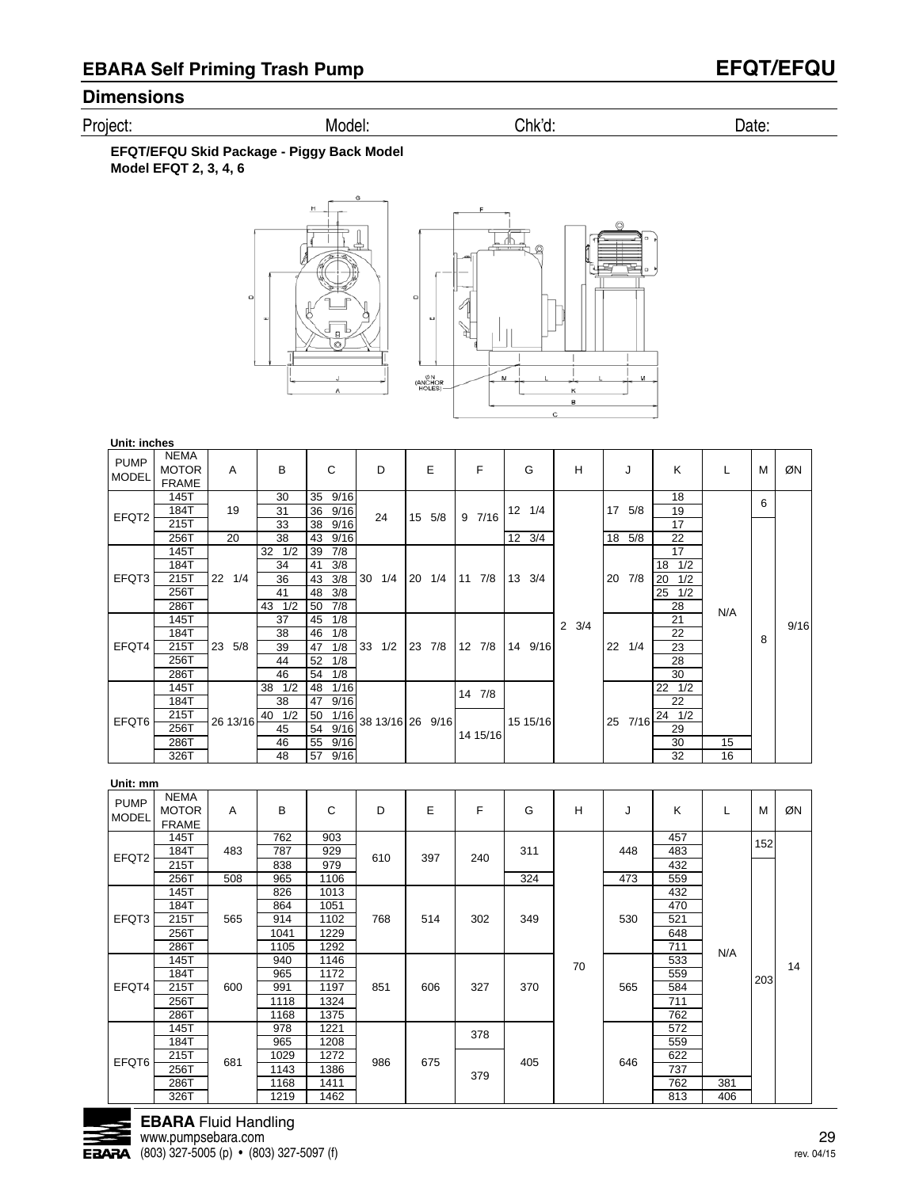### Project: Model: Chk'd: Date:

**EFQT/EFQU Skid Package - Piggy Back Model Model EFQT 2, 3, 4, 6**



| Unit: inches                |                             |           |           |    |      |                  |    |     |                 |          |    |          |                 |    |      |           |     |   |      |
|-----------------------------|-----------------------------|-----------|-----------|----|------|------------------|----|-----|-----------------|----------|----|----------|-----------------|----|------|-----------|-----|---|------|
| <b>PUMP</b><br><b>MODEL</b> | <b>NEMA</b><br><b>MOTOR</b> | A         | B         |    | C    | D                |    | E   |                 | F        |    | G        | H               |    | J    | K         |     | м | ØΝ   |
|                             | <b>FRAME</b>                |           |           |    |      |                  |    |     |                 |          |    |          |                 |    |      |           |     |   |      |
|                             | 145T                        |           | 30        | 35 | 9/16 |                  |    |     |                 |          |    |          |                 |    |      | 18        |     | 6 |      |
| EFQT2                       | 184T                        | 19        | 31        | 36 | 9/16 | 24               | 15 | 5/8 | 9               | 7/16     |    | 12 1/4   |                 | 17 | 5/8  | 19        |     |   |      |
|                             | 215T                        |           | 33        | 38 | 9/16 |                  |    |     |                 |          |    |          |                 |    |      | 17        |     |   |      |
|                             | 256T                        | 20        | 38        | 43 | 9/16 |                  |    |     |                 |          | 12 | 3/4      |                 | 18 | 5/8  | 22        |     |   |      |
|                             | 145T                        |           | 32<br>1/2 | 39 | 7/8  |                  |    |     |                 |          |    |          |                 |    |      | 17        |     |   |      |
|                             | 184T                        |           | 34        | 41 | 3/8  |                  |    |     |                 |          |    |          |                 |    |      | 1/2<br>18 |     |   |      |
| EFQT3                       | 215T                        | 1/4<br>22 | 36        | 43 | 3/8  | 30<br>1/4        | 20 | 1/4 | 11              | 7/8      | 13 | 3/4      |                 | 20 | 7/8  | 1/2<br>20 |     |   |      |
|                             | 256T                        |           | 41        | 48 | 3/8  |                  |    |     |                 |          |    |          |                 |    |      | 1/2<br>25 |     |   |      |
|                             | 286T                        |           | 1/2<br>43 | 50 | 7/8  |                  |    |     |                 |          |    |          |                 |    |      | 28        |     |   |      |
|                             | 145T                        |           | 37        | 45 | 1/8  |                  |    |     |                 |          |    |          |                 |    |      | 21        | N/A |   |      |
|                             | 184T                        |           | 38        | 46 | 1/8  |                  |    |     |                 |          |    |          | $2 \frac{3}{4}$ |    |      | 22        |     |   | 9/16 |
| EFQT4                       | 215T                        | 23<br>5/8 | 39        | 47 | 1/8  | 33<br>1/2        | 23 | 7/8 | 12 <sup>°</sup> | 7/8      | 14 | 9/16     |                 | 22 | 1/4  | 23        |     | 8 |      |
|                             | 256T                        |           | 44        | 52 | 1/8  |                  |    |     |                 |          |    |          |                 |    |      | 28        |     |   |      |
|                             | 286T                        |           | 46        | 54 | 1/8  |                  |    |     |                 |          |    |          |                 |    |      | 30        |     |   |      |
|                             | 145T                        |           | 1/2<br>38 | 48 | 1/16 |                  |    |     |                 |          |    |          |                 |    |      | 1/2<br>22 |     |   |      |
|                             | 184T                        |           | 38        | 47 | 9/16 |                  |    |     |                 | 14 7/8   |    |          |                 |    |      | 22        |     |   |      |
|                             | 215T                        |           | 1/2<br>40 | 50 | 1/16 |                  |    |     |                 |          |    |          |                 |    |      | 1/2<br>24 |     |   |      |
| EFQT6                       | 256T                        | 26 13/16  | 45        | 54 | 9/16 | 38 13/16 26 9/16 |    |     |                 |          |    | 15 15/16 |                 | 25 | 7/16 | 29        |     |   |      |
|                             | 286T                        |           | 46        | 55 | 9/16 |                  |    |     |                 | 14 15/16 |    |          |                 |    |      | 30        | 15  |   |      |
|                             | 326T                        |           | 48        | 57 | 9/16 |                  |    |     |                 |          |    |          |                 |    |      | 32        | 16  |   |      |

| Unit: mm                    |                                             |     |      |      |     |     |     |     |    |     |     |     |     |    |
|-----------------------------|---------------------------------------------|-----|------|------|-----|-----|-----|-----|----|-----|-----|-----|-----|----|
| <b>PUMP</b><br><b>MODEL</b> | <b>NEMA</b><br><b>MOTOR</b><br><b>FRAME</b> | A   | B    | C    | D   | E   | F   | G   | H  | J   | Κ   | L   | M   | ØN |
|                             | 145T                                        |     | 762  | 903  |     |     |     |     |    |     | 457 |     | 152 |    |
| EFQT2                       | 184T                                        | 483 | 787  | 929  | 610 | 397 | 240 | 311 |    | 448 | 483 |     |     |    |
|                             | 215T                                        |     | 838  | 979  |     |     |     |     |    |     | 432 |     |     |    |
|                             | 256T                                        | 508 | 965  | 1106 |     |     |     | 324 |    | 473 | 559 |     |     |    |
|                             | 145T                                        |     | 826  | 1013 |     |     |     |     |    |     | 432 |     |     |    |
|                             | 184T                                        |     | 864  | 1051 |     |     |     |     |    |     | 470 |     |     |    |
| EFQT3                       | 215T                                        | 565 | 914  | 1102 | 768 | 514 | 302 | 349 |    | 530 | 521 |     |     |    |
|                             | 256T                                        |     | 1041 | 1229 |     |     |     |     |    |     | 648 |     |     |    |
|                             | 286T                                        |     | 1105 | 1292 |     |     |     |     |    |     | 711 | N/A |     |    |
|                             | 145T                                        |     | 940  | 1146 |     |     |     |     | 70 |     | 533 |     |     | 14 |
|                             | 184T                                        |     | 965  | 1172 |     |     |     |     |    |     | 559 |     | 203 |    |
| EFQT4                       | 215T                                        | 600 | 991  | 1197 | 851 | 606 | 327 | 370 |    | 565 | 584 |     |     |    |
|                             | 256T                                        |     | 1118 | 1324 |     |     |     |     |    |     | 711 |     |     |    |
|                             | 286T                                        |     | 1168 | 1375 |     |     |     |     |    |     | 762 |     |     |    |
|                             | 145T                                        |     | 978  | 1221 |     |     | 378 |     |    |     | 572 |     |     |    |
|                             | 184T                                        |     | 965  | 1208 |     |     |     |     |    |     | 559 |     |     |    |
| EFQT6                       | 215T                                        | 681 | 1029 | 1272 | 986 | 675 |     | 405 |    | 646 | 622 |     |     |    |
|                             | 256T                                        |     | 1143 | 1386 |     |     |     |     |    |     | 737 |     |     |    |
|                             | 286T                                        |     | 1168 | 1411 |     |     | 379 |     |    |     | 762 | 381 |     |    |
|                             | 326T                                        |     | 1219 | 1462 |     |     |     |     |    |     | 813 | 406 |     |    |

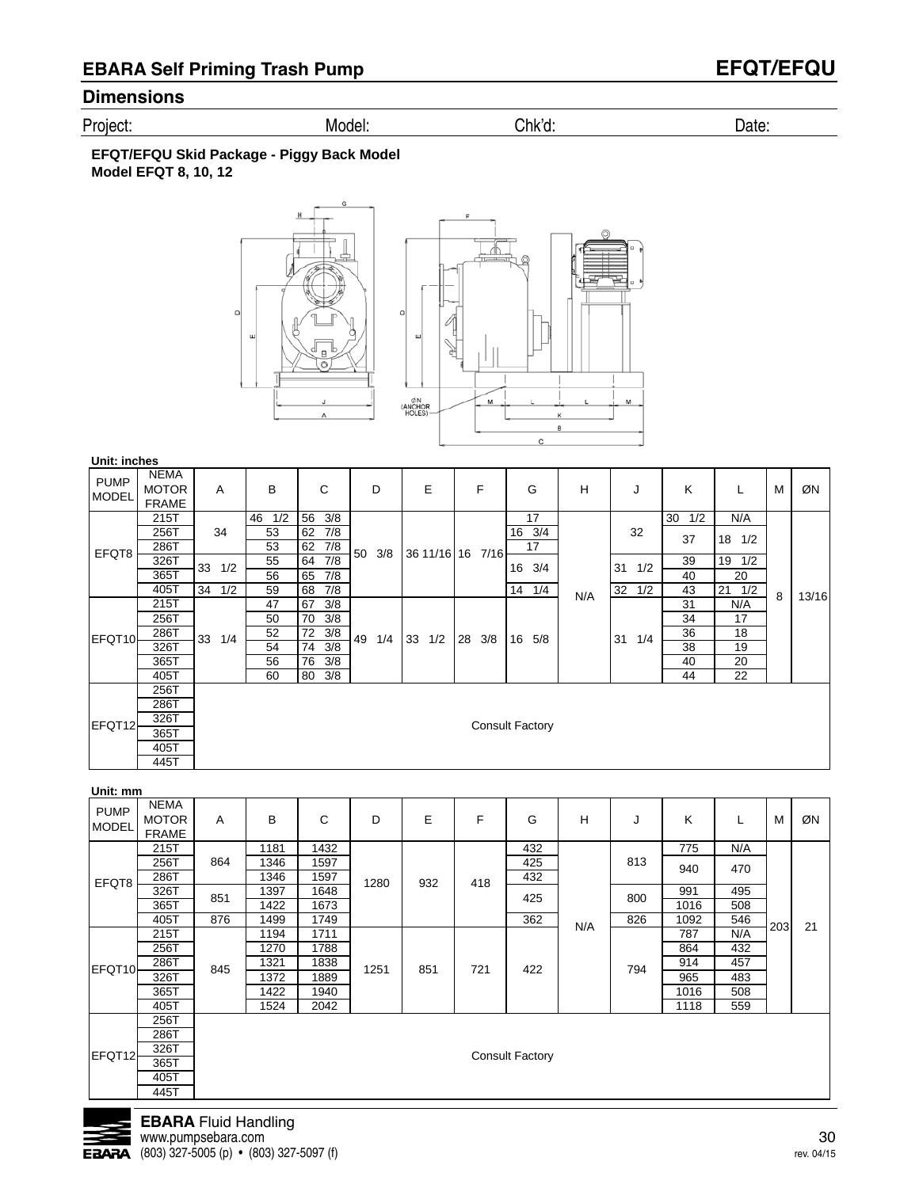Project: Model: Chk'd: Date:

**EFQT/EFQU Skid Package - Piggy Back Model Model EFQT 8, 10, 12**



| Unit: inches                |                                             |           |           |                        |           |             |           |                        |     |           |           |           |   |       |
|-----------------------------|---------------------------------------------|-----------|-----------|------------------------|-----------|-------------|-----------|------------------------|-----|-----------|-----------|-----------|---|-------|
| <b>PUMP</b><br><b>MODEL</b> | <b>NEMA</b><br><b>MOTOR</b><br><b>FRAME</b> | A         | B         | C                      | D         | Е           | F         | G                      | н   | J         | K         |           | M | ØN    |
|                             | 215T                                        |           | 1/2<br>46 | 3/8<br>56              |           |             |           | 17                     |     |           | 1/2<br>30 | N/A       |   |       |
|                             | 256T                                        | 34        | 53        | 7/8<br>62              |           |             |           | 3/4<br>16              |     | 32        | 37        | 1/2<br>18 |   |       |
| EFQT8                       | 286T                                        |           | 53        | 62<br>7/8              | 50<br>3/8 | 36 11/16 16 | 7/16      | 17                     |     |           |           |           |   |       |
|                             | 326T                                        | 1/2<br>33 | 55        | $\overline{7/8}$<br>64 |           |             |           | 3/4<br>16              |     | 1/2<br>31 | 39        | 19<br>1/2 |   |       |
|                             | 365T                                        |           | 56        | 65<br>7/8              |           |             |           |                        |     |           | 40        | 20        |   |       |
|                             | 405T                                        | 1/2<br>34 | 59        | 7/8<br>68              |           |             |           | 1/4<br>14              | N/A | 1/2<br>32 | 43        | 1/2<br>21 | 8 | 13/16 |
|                             | 215T                                        |           | 47        | 3/8<br>67              |           |             |           |                        |     |           | 31        | N/A       |   |       |
|                             | 256T                                        |           | 50        | 3/8<br>70              |           |             |           |                        |     |           | 34        | 17        |   |       |
| EFQT10                      | 286T                                        | 33<br>1/4 | 52        | 3/8<br>72              | 1/4<br>49 | 33<br>1/2   | 3/8<br>28 | 5/8<br>16              |     | 1/4<br>31 | 36        | 18        |   |       |
|                             | 326T                                        |           | 54        | 3/8<br>74              |           |             |           |                        |     |           | 38        | 19        |   |       |
|                             | 365T                                        |           | 56        | 76<br>3/8              |           |             |           |                        |     |           | 40        | 20        |   |       |
|                             | 405T                                        |           | 60        | 3/8<br>80              |           |             |           |                        |     |           | 44        | 22        |   |       |
|                             | 256T                                        |           |           |                        |           |             |           |                        |     |           |           |           |   |       |
|                             | 286T                                        |           |           |                        |           |             |           |                        |     |           |           |           |   |       |
| EFQT12                      | 326T                                        |           |           |                        |           |             |           | <b>Consult Factory</b> |     |           |           |           |   |       |
|                             | 365T                                        |           |           |                        |           |             |           |                        |     |           |           |           |   |       |
|                             | 405T                                        |           |           |                        |           |             |           |                        |     |           |           |           |   |       |
|                             | 445T                                        |           |           |                        |           |             |           |                        |     |           |           |           |   |       |

| Unit: mm                    |                                             |     |      |      |      |     |     |                        |     |     |      |     |     |    |
|-----------------------------|---------------------------------------------|-----|------|------|------|-----|-----|------------------------|-----|-----|------|-----|-----|----|
| <b>PUMP</b><br><b>MODEL</b> | <b>NEMA</b><br><b>MOTOR</b><br><b>FRAME</b> | A   | B    | C    | D    | Е   | F   | G                      | Н   | J   | K    | L   | M   | ØΝ |
|                             | 215T                                        |     | 1181 | 1432 |      |     |     | 432                    |     |     | 775  | N/A |     |    |
|                             | 256T                                        | 864 | 1346 | 1597 |      |     |     | 425                    |     | 813 | 940  | 470 |     |    |
| EFQT8                       | 286T                                        |     | 1346 | 1597 | 1280 | 932 | 418 | 432                    |     |     |      |     |     |    |
|                             | 326T                                        | 851 | 1397 | 1648 |      |     |     | 425                    |     | 800 | 991  | 495 |     |    |
|                             | 365T                                        |     | 1422 | 1673 |      |     |     |                        |     |     | 1016 | 508 |     |    |
|                             | 405T                                        | 876 | 1499 | 1749 |      |     |     | 362                    | N/A | 826 | 1092 | 546 | 203 | 21 |
|                             | 215T                                        |     | 1194 | 1711 |      |     |     |                        |     |     | 787  | N/A |     |    |
|                             | 256T                                        |     | 1270 | 1788 |      |     |     |                        |     |     | 864  | 432 |     |    |
| EFQT10                      | 286T                                        | 845 | 1321 | 1838 | 1251 | 851 | 721 | 422                    |     | 794 | 914  | 457 |     |    |
|                             | 326T                                        |     | 1372 | 1889 |      |     |     |                        |     |     | 965  | 483 |     |    |
|                             | 365T                                        |     | 1422 | 1940 |      |     |     |                        |     |     | 1016 | 508 |     |    |
|                             | 405T                                        |     | 1524 | 2042 |      |     |     |                        |     |     | 1118 | 559 |     |    |
|                             | 256T                                        |     |      |      |      |     |     |                        |     |     |      |     |     |    |
|                             | 286T                                        |     |      |      |      |     |     |                        |     |     |      |     |     |    |
| EFQT12                      | 326T                                        |     |      |      |      |     |     | <b>Consult Factory</b> |     |     |      |     |     |    |
|                             | 365T                                        |     |      |      |      |     |     |                        |     |     |      |     |     |    |
|                             | 405T                                        |     |      |      |      |     |     |                        |     |     |      |     |     |    |
|                             | 445T                                        |     |      |      |      |     |     |                        |     |     |      |     |     |    |

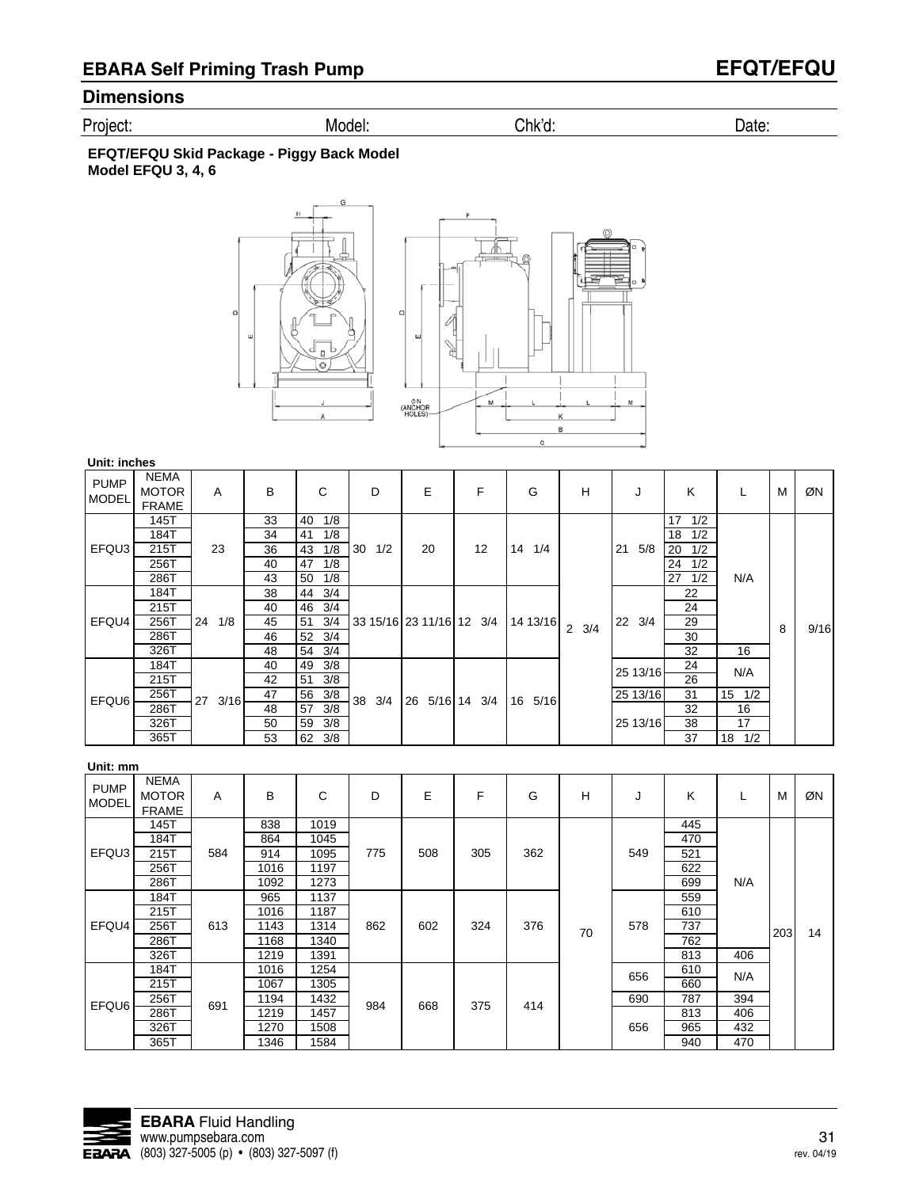Project: Model: Chk'd: Date:

$$
\mathsf{ChI}
$$

**EFQT/EFQU Skid Package - Piggy Back Model Model EFQU 3, 4, 6**



| Unit: inches |
|--------------|
|              |

| <b>UNIT: INCRES</b> |              |         |              |                              |            |                          |     |            |                 |           |                 |            |     |      |
|---------------------|--------------|---------|--------------|------------------------------|------------|--------------------------|-----|------------|-----------------|-----------|-----------------|------------|-----|------|
| <b>PUMP</b>         | <b>NEMA</b>  |         |              |                              |            |                          |     |            |                 |           |                 |            |     |      |
| <b>MODEL</b>        | <b>MOTOR</b> | A       | B            | $\mathsf{C}$                 | D          | E                        | F   | G          | H               | J         | K               | L          | M   | ØN   |
|                     | <b>FRAME</b> |         |              |                              |            |                          |     |            |                 |           |                 |            |     |      |
|                     | 145T         |         | 33           | 1/8<br>40                    |            |                          |     |            |                 |           | 17<br>1/2       |            |     |      |
|                     | 184T         |         | 34           | 41<br>1/8                    |            |                          |     |            |                 |           | 18<br>1/2       |            |     |      |
| EFQU3               | 215T         | 23      | 36           | 1/8<br>43                    | $30 \t1/2$ | 20                       | 12  | $14 \t1/4$ |                 | 21<br>5/8 | 1/2<br>20       |            |     |      |
|                     | 256T         |         | 40           | 1/8<br>47                    |            |                          |     |            |                 |           | 1/2<br>24       |            |     |      |
|                     | 286T         |         | 43           | 1/8<br>50                    |            |                          |     |            |                 |           | 27<br>1/2       | N/A        |     |      |
|                     | 184T         |         | 38           | 3/4<br>44                    |            |                          |     |            |                 |           | 22              |            |     |      |
|                     | 215T         |         | 40           | $\overline{3/4}$<br>46       |            |                          |     |            |                 |           | 24              |            |     |      |
| EFQU4               | 256T         | 24 1/8  | 45           | 51<br>3/4                    |            | 33 15/16 23 11/16 12 3/4 |     | 14 13/16   | $2 \frac{3}{4}$ | 22 3/4    | 29              |            | 8   | 9/16 |
|                     | 286T<br>326T |         | 46           | 52<br>3/4                    |            |                          |     |            |                 |           | 30              |            |     |      |
|                     | 184T         |         | 48<br>40     | $\overline{3/4}$<br>54<br>49 |            |                          |     |            |                 |           | 32<br>24        | 16         |     |      |
|                     | 215T         |         | 42           | 3/8<br>51<br>3/8             |            |                          |     |            |                 | 25 13/16  | $\overline{26}$ | N/A        |     |      |
|                     | 256T         |         | 47           | 56<br>3/8                    |            |                          |     |            |                 | 25 13/16  | 31              | $15 \t1/2$ |     |      |
| EFQU6               | 286T         | 27 3/16 | 48           | 57<br>3/8                    | 38 3/4     | 26 5/16 14 3/4           |     | 16 5/16    |                 |           | 32              | 16         |     |      |
|                     | 326T         |         | 50           | 59<br>3/8                    |            |                          |     |            |                 | 25 13/16  | 38              | 17         |     |      |
|                     | 365T         |         | 53           | $\overline{3/8}$<br>62       |            |                          |     |            |                 |           | $\overline{37}$ | $18 \t1/2$ |     |      |
|                     |              |         |              |                              |            |                          |     |            |                 |           |                 |            |     |      |
| Unit: mm            |              |         |              |                              |            |                          |     |            |                 |           |                 |            |     |      |
| <b>PUMP</b>         | <b>NEMA</b>  |         |              |                              |            |                          |     |            |                 |           |                 |            |     |      |
| <b>MODEL</b>        | <b>MOTOR</b> | A       | B            | C                            | D          | E                        | F   | G          | H               | J         | K               | L          | м   | ØN   |
|                     | <b>FRAME</b> |         |              |                              |            |                          |     |            |                 |           |                 |            |     |      |
|                     | 145T         |         | 838          | 1019                         |            |                          |     |            |                 |           | 445             |            |     |      |
|                     | 184T         |         | 864          | 1045                         |            |                          |     |            |                 |           | 470             |            |     |      |
| EFQU3               | 215T         | 584     | 914          | 1095                         | 775        | 508                      | 305 | 362        |                 | 549       | 521             |            |     |      |
|                     | 256T         |         | 1016         | 1197                         |            |                          |     |            |                 |           | 622             |            |     |      |
|                     | 286T         |         | 1092         | 1273                         |            |                          |     |            |                 |           | 699             | N/A        |     |      |
|                     |              |         |              |                              |            |                          |     |            |                 |           |                 |            |     |      |
|                     | 184T         |         | 965          | 1137                         |            |                          |     |            |                 |           | 559             |            |     |      |
|                     | 215T         |         | 1016         | 1187                         |            |                          |     |            |                 |           | 610             |            |     |      |
| EFQU4               | 256T         | 613     | 1143         | 1314                         | 862        | 602                      | 324 | 376        | 70              | 578       | 737             |            |     | 14   |
|                     | 286T         |         | 1168         | 1340                         |            |                          |     |            |                 |           | 762             |            | 203 |      |
|                     | 326T         |         | 1219         | 1391                         |            |                          |     |            |                 |           | 813             | 406        |     |      |
|                     | 184T         |         | 1016         | 1254                         |            |                          |     |            |                 | 656       | 610             | N/A        |     |      |
|                     | 215T         |         | 1067         | 1305                         |            |                          |     |            |                 |           | 660             |            |     |      |
| EFQU6               | 256T         | 691     | 1194         | 1432                         | 984        | 668                      | 375 | 414        |                 | 690       | 787             | 394        |     |      |
|                     | 286T         |         | 1219         | 1457                         |            |                          |     |            |                 |           | 813             | 406        |     |      |
|                     | 326T<br>365T |         | 1270<br>1346 | 1508<br>1584                 |            |                          |     |            |                 | 656       | 965<br>940      | 432<br>470 |     |      |

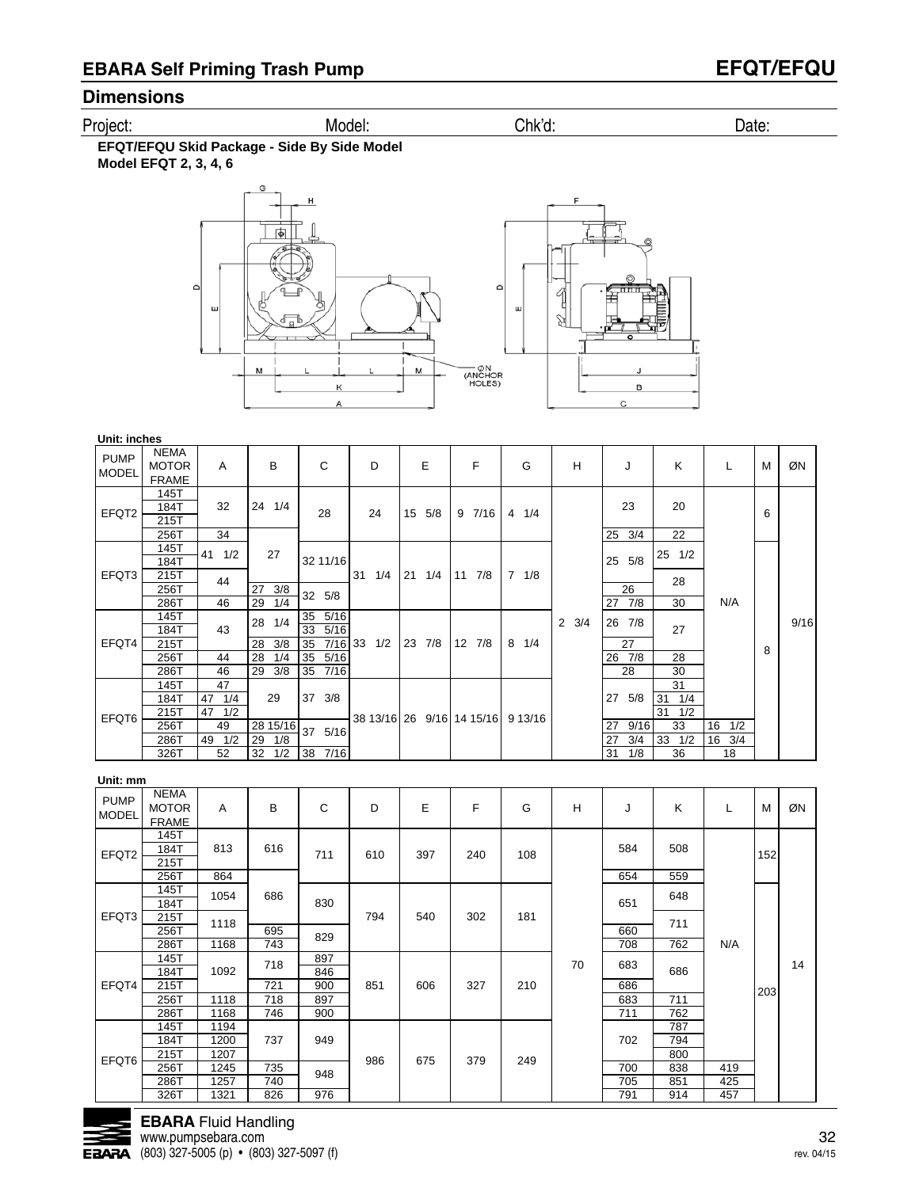Project: Model: Chk'd: Date:

**EFQT/EFQU Skid Package - Side By Side Model Model EFQT 2, 3, 4, 6**



### **Unit: inches**

| <b>PUMP</b><br><b>MODEL</b> | <b>NEMA</b><br><b>MOTOR</b><br><b>FRAME</b> | A         | B         | C             | D           | E         | F                       | G                     | H                     | J          | K         | L         | м | ØΝ   |
|-----------------------------|---------------------------------------------|-----------|-----------|---------------|-------------|-----------|-------------------------|-----------------------|-----------------------|------------|-----------|-----------|---|------|
|                             | 145T                                        |           |           |               |             |           |                         |                       |                       |            |           |           |   |      |
| EFQT2                       | 184T                                        | 32        | 24 1/4    | 28            | 24          | 5/8<br>15 | 9 7/16                  | 1/4<br>$\overline{4}$ |                       | 23         | 20        |           | 6 |      |
|                             | 215T                                        |           |           |               |             |           |                         |                       |                       |            |           |           |   |      |
|                             | 256T                                        | 34        |           |               |             |           |                         |                       |                       | 3/4<br>25  | 22        |           |   |      |
|                             | 145T                                        | 1/2<br>41 | 27        |               |             |           |                         |                       |                       |            | 1/2<br>25 |           |   |      |
|                             | 184T                                        |           |           | 32 11/16      |             |           |                         |                       |                       | 5/8<br>25  |           |           |   |      |
| EFQT3                       | 215T                                        | 44        |           |               | 31<br>1/4   | 1/4<br>21 | 7/8<br>11               | $7^{\circ}$<br>1/8    |                       |            | 28        |           |   |      |
|                             | 256T                                        |           | 3/8<br>27 | 32 5/8        |             |           |                         |                       |                       | 26         |           |           |   |      |
|                             | 286T                                        | 46        | 1/4<br>29 |               |             |           |                         |                       |                       | 7/8<br>27  | 30        | N/A       |   |      |
|                             | 145T                                        |           |           | 5/16<br>35    |             |           |                         |                       |                       |            |           |           |   | 9/16 |
|                             | 184T                                        | 43        | 1/4<br>28 | 33<br>5/16    |             |           |                         |                       | 3/4<br>$\overline{2}$ | 7/8<br>26  | 27        |           |   |      |
| EFQT4                       | 215T                                        |           | 3/8<br>28 | 7/16 33<br>35 | 1/2         | 7/8<br>23 | 12 <sup>12</sup><br>7/8 | 8<br>1/4              |                       | 27         |           |           | 8 |      |
|                             | 256T                                        | 44        | 28<br>1/4 | 5/16<br>35    |             |           |                         |                       |                       | 7/8<br>26  | 28        |           |   |      |
|                             | 286T                                        | 46        | 3/8<br>29 | 35<br>7/16    |             |           |                         |                       |                       | 28         | 30        |           |   |      |
|                             | 145T                                        | 47        |           |               |             |           |                         |                       |                       |            | 31        |           |   |      |
|                             | 184T                                        | 1/4<br>47 | 29        | 37<br>3/8     |             |           |                         |                       |                       | 5/8<br>27  | 1/4<br>31 |           |   |      |
|                             | 215T                                        | 1/2<br>47 |           |               |             |           |                         |                       |                       |            | 1/2<br>31 |           |   |      |
| EFQT6                       | 256T                                        | 49        | 28 15/16  |               | 38 13/16 26 |           | 9/16 14 15/16           | 9 13/16               |                       | 9/16<br>27 | 33        | 1/2<br>16 |   |      |
|                             | 286T                                        | 1/2<br>49 | 1/8<br>29 | 37 5/16       |             |           |                         |                       |                       | 3/4<br>27  | 33<br>1/2 | 16<br>3/4 |   |      |
|                             | 326T                                        | 52        | 1/2<br>32 | 38<br>7/16    |             |           |                         |                       |                       | 1/8<br>31  | 36        | 18        |   |      |

| Unit: mm                    |                                             |      |     |     |     |     |     |     |    |     |     |     |     |    |
|-----------------------------|---------------------------------------------|------|-----|-----|-----|-----|-----|-----|----|-----|-----|-----|-----|----|
| <b>PUMP</b><br><b>MODEL</b> | <b>NEMA</b><br><b>MOTOR</b><br><b>FRAME</b> | A    | B   | C   | D   | Ε   | F   | G   | H  | J   | Κ   | L   | M   | ØN |
| EFQT2                       | 145T<br>184T<br>215T                        | 813  | 616 | 711 | 610 | 397 | 240 | 108 |    | 584 | 508 |     | 152 |    |
|                             | 256T                                        | 864  |     |     |     |     |     |     |    | 654 | 559 |     |     |    |
|                             | 145T<br>184T                                | 1054 | 686 | 830 |     |     |     |     |    | 651 | 648 |     |     |    |
| EFQT3                       | 215T                                        | 1118 |     |     | 794 | 540 | 302 | 181 |    |     | 711 |     |     |    |
|                             | 256T                                        |      | 695 | 829 |     |     |     |     |    | 660 |     |     |     |    |
|                             | 286T                                        | 1168 | 743 |     |     |     |     |     |    | 708 | 762 | N/A |     |    |
|                             | 145T                                        |      | 718 | 897 |     |     |     |     | 70 | 683 |     |     |     | 14 |
|                             | 184T                                        | 1092 |     | 846 |     |     |     |     |    |     | 686 |     |     |    |
| EFQT4                       | 215T                                        |      | 721 | 900 | 851 | 606 | 327 | 210 |    | 686 |     |     | 203 |    |
|                             | 256T                                        | 1118 | 718 | 897 |     |     |     |     |    | 683 | 711 |     |     |    |
|                             | 286T                                        | 1168 | 746 | 900 |     |     |     |     |    | 711 | 762 |     |     |    |
|                             | 145T                                        | 1194 |     |     |     |     |     |     |    |     | 787 |     |     |    |
|                             | 184T                                        | 1200 | 737 | 949 |     |     |     |     |    | 702 | 794 |     |     |    |
| EFQT6                       | 215T                                        | 1207 |     |     | 986 | 675 | 379 | 249 |    |     | 800 |     |     |    |
|                             | 256T                                        | 1245 | 735 | 948 |     |     |     |     |    | 700 | 838 | 419 |     |    |
|                             | 286T                                        | 1257 | 740 |     |     |     |     |     |    | 705 | 851 | 425 |     |    |
|                             | 326T                                        | 1321 | 826 | 976 |     |     |     |     |    | 791 | 914 | 457 |     |    |



(803) 327-5005 (p) • (803) 327-5097 (f) rev. 04/15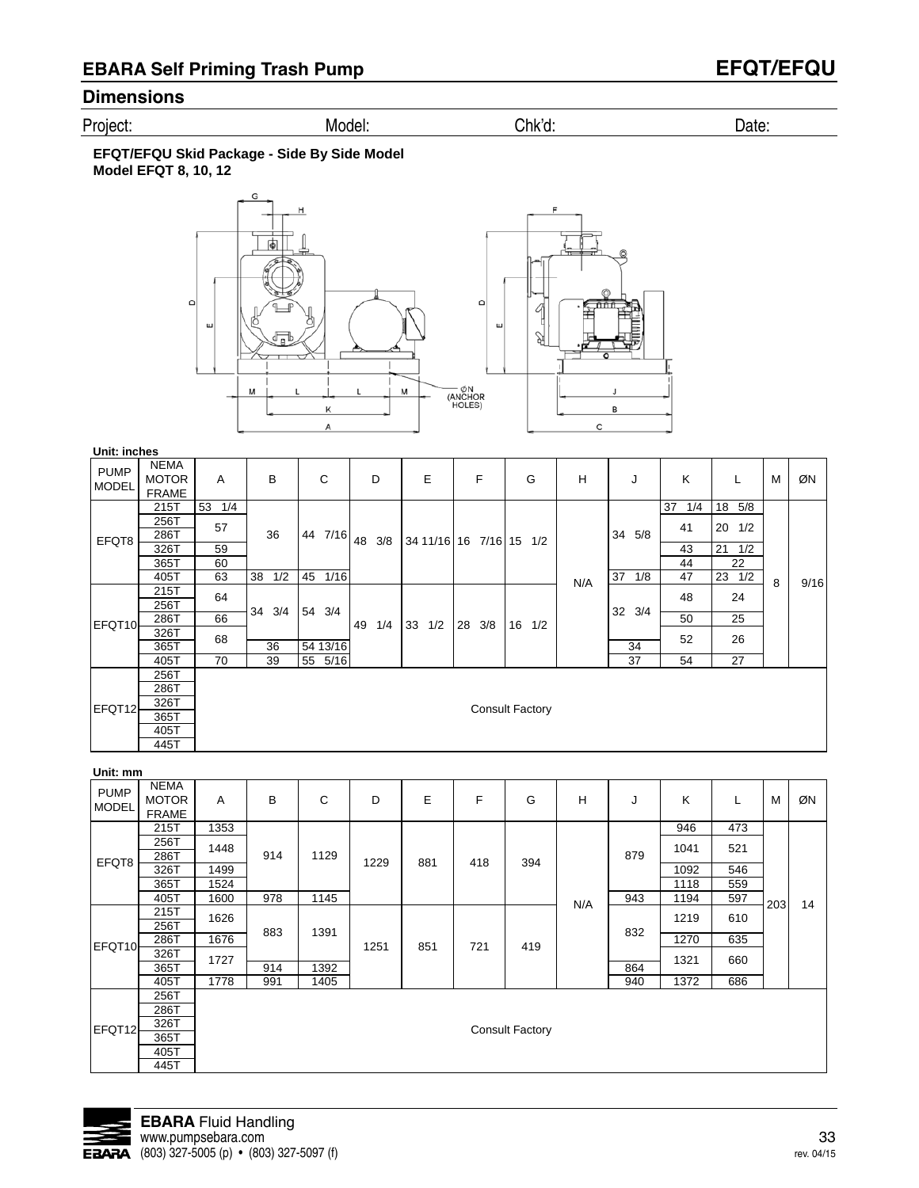| Project.<br>`hk'<br>$+ - -$<br>$^{\prime}$ n<br>IVI (<br>мь.<br>1.1<br>Dalo.<br>ч |  |
|-----------------------------------------------------------------------------------|--|
|-----------------------------------------------------------------------------------|--|

**EFQT/EFQU Skid Package - Side By Side Model Model EFQT 8, 10, 12**



| ,,,,,,,,,,,,,,,,,           |                                             |           |           |    |                          |    |     |                         |    |                        |    |     |     |    |        |           |           |   |      |
|-----------------------------|---------------------------------------------|-----------|-----------|----|--------------------------|----|-----|-------------------------|----|------------------------|----|-----|-----|----|--------|-----------|-----------|---|------|
| <b>PUMP</b><br><b>MODEL</b> | <b>NEMA</b><br><b>MOTOR</b><br><b>FRAME</b> | Α         | B         |    | С                        |    | D   | Е                       |    | F                      |    | G   | н   |    | J      | Κ         |           | М | ØΝ   |
|                             | 215T                                        | 53<br>1/4 |           |    |                          |    |     |                         |    |                        |    |     |     |    |        | 37<br>1/4 | 5/8<br>18 |   |      |
|                             | 256T                                        | 57        |           |    |                          |    |     |                         |    |                        |    |     |     |    |        | 41        | 1/2<br>20 |   |      |
| EFQT8                       | 286T                                        |           | 36        |    | $1^{44}$ 7/16 $48^{3/8}$ |    |     | 34 11/16 16 7/16 15 1/2 |    |                        |    |     |     |    | 34 5/8 |           |           |   |      |
|                             | 326T                                        | 59        |           |    |                          |    |     |                         |    |                        |    |     |     |    |        | 43        | 21<br>1/2 |   |      |
|                             | 365T                                        | 60        |           |    |                          |    |     |                         |    |                        |    |     |     |    |        | 44        | 22        |   |      |
|                             | 405T                                        | 63        | 1/2<br>38 | 45 | 1/16                     |    |     |                         |    |                        |    |     | N/A | 37 | 1/8    | 47        | 1/2<br>23 | 8 | 9/16 |
|                             | 215T                                        | 64        |           |    |                          |    |     |                         |    |                        |    |     |     |    |        | 48        | 24        |   |      |
|                             | 256T                                        |           | 3/4<br>34 | 54 | 3/4                      |    |     |                         |    |                        |    |     |     | 32 | 3/4    |           |           |   |      |
| EFQT10                      | 286T                                        | 66        |           |    |                          | 49 | 1/4 | 1/2<br>33               | 28 | 3/8                    | 16 | 1/2 |     |    |        | 50        | 25        |   |      |
|                             | 326T                                        | 68        |           |    |                          |    |     |                         |    |                        |    |     |     |    |        | 52        | 26        |   |      |
|                             | 365T                                        |           | 36        |    | 54 13/16                 |    |     |                         |    |                        |    |     |     |    | 34     |           |           |   |      |
|                             | 405T                                        | 70        | 39        | 55 | 5/16                     |    |     |                         |    |                        |    |     |     |    | 37     | 54        | 27        |   |      |
|                             | 256T                                        |           |           |    |                          |    |     |                         |    |                        |    |     |     |    |        |           |           |   |      |
|                             | 286T                                        |           |           |    |                          |    |     |                         |    |                        |    |     |     |    |        |           |           |   |      |
| EFQT12                      | 326T                                        |           |           |    |                          |    |     |                         |    | <b>Consult Factory</b> |    |     |     |    |        |           |           |   |      |
|                             | 365T                                        |           |           |    |                          |    |     |                         |    |                        |    |     |     |    |        |           |           |   |      |
|                             | 405T                                        |           |           |    |                          |    |     |                         |    |                        |    |     |     |    |        |           |           |   |      |
|                             | 445T                                        |           |           |    |                          |    |     |                         |    |                        |    |     |     |    |        |           |           |   |      |

| Unit: mm     |              |      |     |      |      |     |     |                        |     |     |      |     |     |    |
|--------------|--------------|------|-----|------|------|-----|-----|------------------------|-----|-----|------|-----|-----|----|
| <b>PUMP</b>  | <b>NEMA</b>  |      |     |      |      |     |     |                        |     |     |      |     |     |    |
| <b>MODEL</b> | <b>MOTOR</b> | A    | B   | C    | D    | E   | F   | G                      | Н   | J   | Κ    | L   | M   | ØN |
|              | <b>FRAME</b> |      |     |      |      |     |     |                        |     |     |      |     |     |    |
|              | 215T         | 1353 |     |      |      |     |     |                        |     |     | 946  | 473 |     |    |
|              | 256T         | 1448 |     |      |      |     |     |                        |     |     | 1041 | 521 |     |    |
| EFQT8        | 286T         |      | 914 | 1129 | 1229 | 881 | 418 | 394                    |     | 879 |      |     |     |    |
|              | 326T         | 1499 |     |      |      |     |     |                        |     |     | 1092 | 546 |     |    |
|              | 365T         | 1524 |     |      |      |     |     |                        |     |     | 1118 | 559 |     |    |
|              | 405T         | 1600 | 978 | 1145 |      |     |     |                        | N/A | 943 | 1194 | 597 | 203 | 14 |
|              | 215T         | 1626 |     |      |      |     |     |                        |     |     | 1219 | 610 |     |    |
|              | 256T         |      | 883 | 1391 |      |     |     |                        |     | 832 |      |     |     |    |
| EFQT10       | 286T         | 1676 |     |      | 1251 | 851 | 721 | 419                    |     |     | 1270 | 635 |     |    |
|              | 326T         | 1727 |     |      |      |     |     |                        |     |     | 1321 | 660 |     |    |
|              | 365T         |      | 914 | 1392 |      |     |     |                        |     | 864 |      |     |     |    |
|              | 405T         | 1778 | 991 | 1405 |      |     |     |                        |     | 940 | 1372 | 686 |     |    |
|              | 256T         |      |     |      |      |     |     |                        |     |     |      |     |     |    |
|              | 286T         |      |     |      |      |     |     |                        |     |     |      |     |     |    |
| EFQT12       | 326T         |      |     |      |      |     |     |                        |     |     |      |     |     |    |
|              | 365T         |      |     |      |      |     |     | <b>Consult Factory</b> |     |     |      |     |     |    |
|              | 405T         |      |     |      |      |     |     |                        |     |     |      |     |     |    |
|              | 445T         |      |     |      |      |     |     |                        |     |     |      |     |     |    |